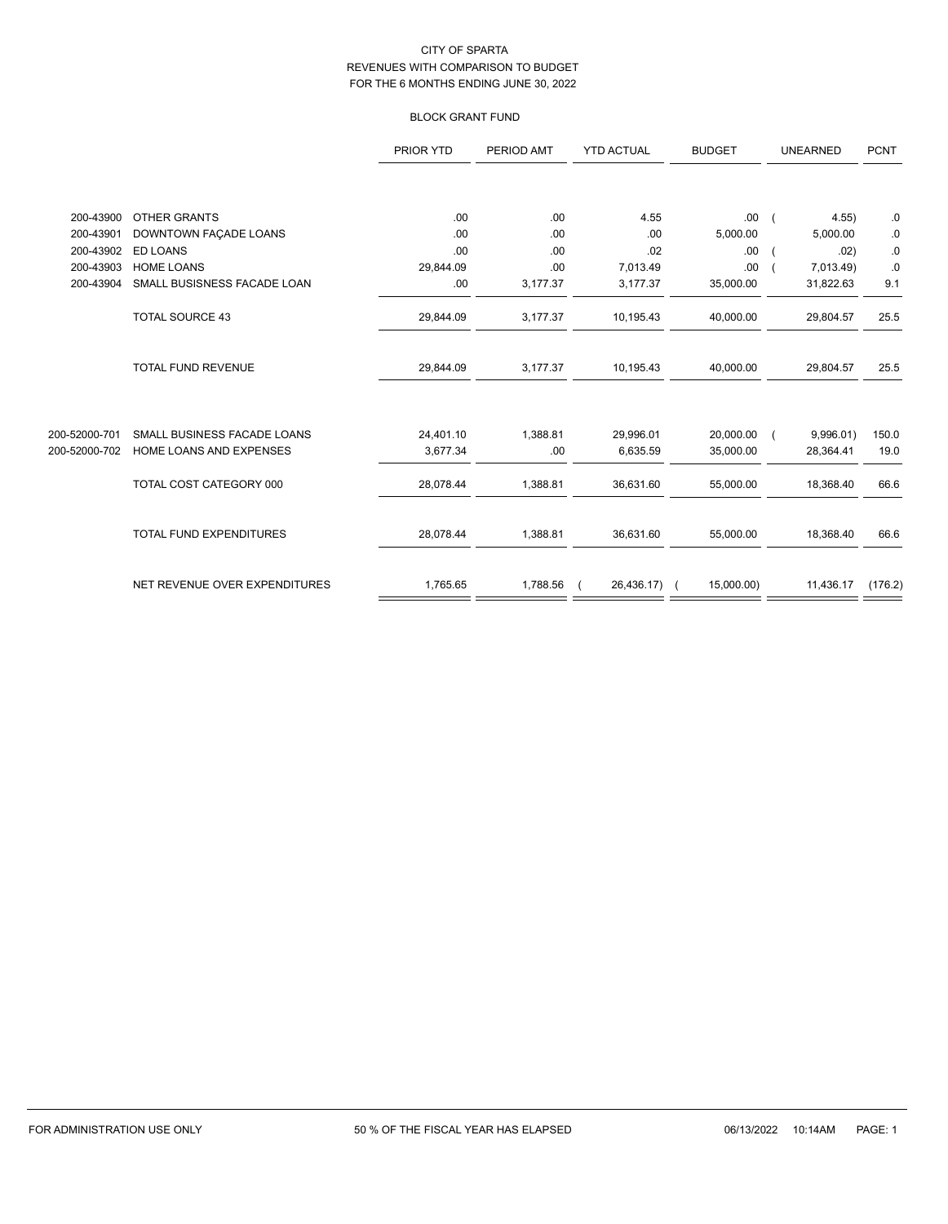## BLOCK GRANT FUND

|               |                                | PRIOR YTD | PERIOD AMT | <b>YTD ACTUAL</b> | <b>BUDGET</b> | <b>UNEARNED</b>  | <b>PCNT</b> |
|---------------|--------------------------------|-----------|------------|-------------------|---------------|------------------|-------------|
|               |                                |           |            |                   |               |                  |             |
| 200-43900     | <b>OTHER GRANTS</b>            | .00       | .00        | 4.55              | .00.          | 4.55<br>$\left($ | 0.          |
| 200-43901     | DOWNTOWN FAÇADE LOANS          | .00       | .00        | .00               | 5,000.00      | 5,000.00         | .0          |
| 200-43902     | <b>ED LOANS</b>                | .00       | .00        | .02               | .00           | .02)             | ${\bf .0}$  |
| 200-43903     | <b>HOME LOANS</b>              | 29,844.09 | .00        | 7,013.49          | .00           | 7,013.49)        | $.0 \,$     |
| 200-43904     | SMALL BUSISNESS FACADE LOAN    | .00       | 3,177.37   | 3,177.37          | 35,000.00     | 31,822.63        | 9.1         |
|               | <b>TOTAL SOURCE 43</b>         | 29,844.09 | 3,177.37   | 10,195.43         | 40,000.00     | 29,804.57        | 25.5        |
|               | TOTAL FUND REVENUE             | 29,844.09 | 3,177.37   | 10,195.43         | 40,000.00     | 29,804.57        | 25.5        |
|               |                                |           |            |                   |               |                  |             |
| 200-52000-701 | SMALL BUSINESS FACADE LOANS    | 24,401.10 | 1,388.81   | 29,996.01         | 20,000.00     | 9,996.01)        | 150.0       |
| 200-52000-702 | <b>HOME LOANS AND EXPENSES</b> | 3,677.34  | .00        | 6,635.59          | 35,000.00     | 28,364.41        | 19.0        |
|               | TOTAL COST CATEGORY 000        | 28,078.44 | 1,388.81   | 36,631.60         | 55,000.00     | 18,368.40        | 66.6        |
|               | TOTAL FUND EXPENDITURES        | 28,078.44 | 1,388.81   | 36,631.60         | 55,000.00     | 18,368.40        | 66.6        |
|               | NET REVENUE OVER EXPENDITURES  | 1,765.65  | 1,788.56   | 26,436.17) (      | 15,000.00)    | 11,436.17        | (176.2)     |
|               |                                |           |            |                   |               |                  |             |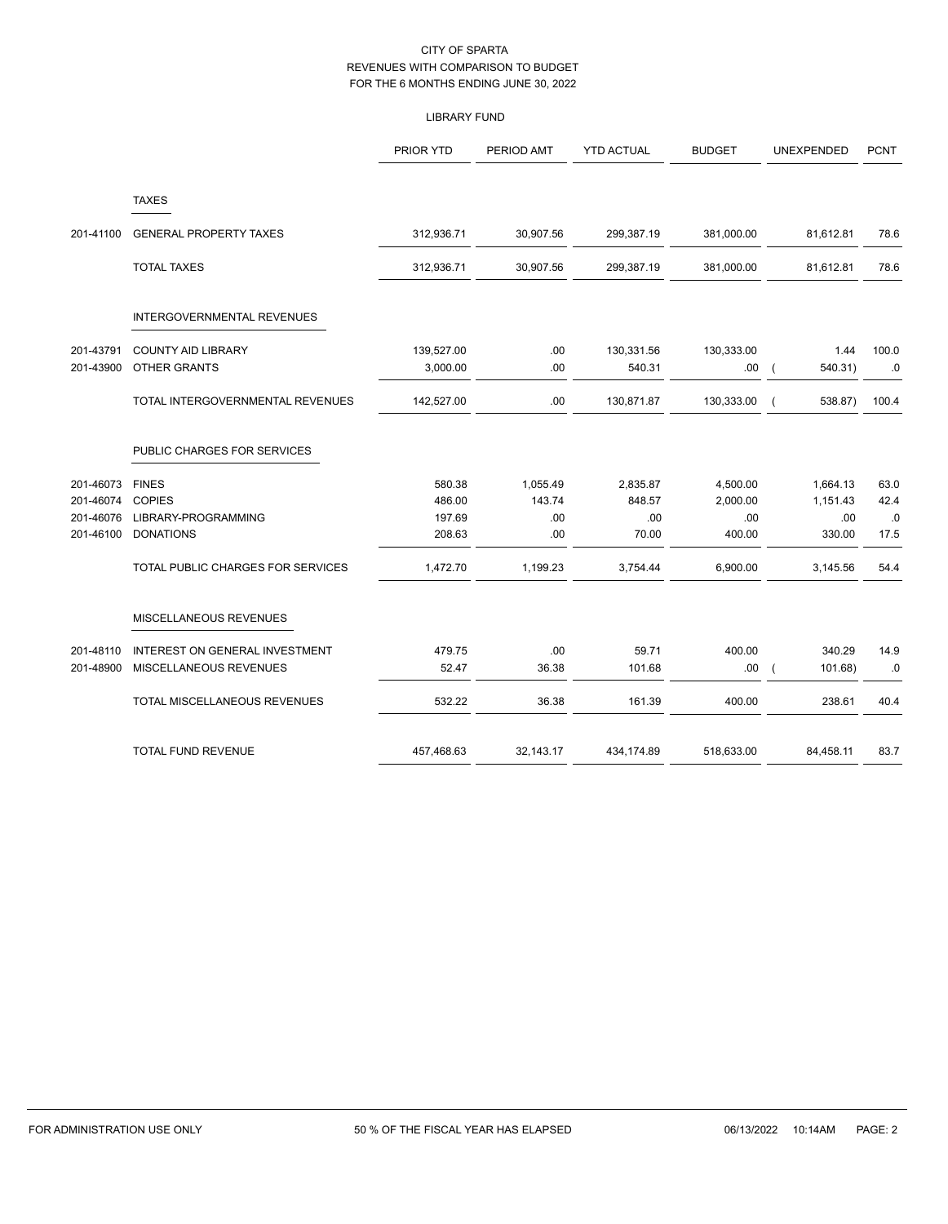## LIBRARY FUND

|           |                                   | PRIOR YTD  | PERIOD AMT | <b>YTD ACTUAL</b> | <b>BUDGET</b> | UNEXPENDED            | <b>PCNT</b> |
|-----------|-----------------------------------|------------|------------|-------------------|---------------|-----------------------|-------------|
|           | <b>TAXES</b>                      |            |            |                   |               |                       |             |
| 201-41100 | <b>GENERAL PROPERTY TAXES</b>     | 312,936.71 | 30,907.56  | 299,387.19        | 381,000.00    | 81,612.81             | 78.6        |
|           | <b>TOTAL TAXES</b>                | 312,936.71 | 30,907.56  | 299,387.19        | 381,000.00    | 81,612.81             | 78.6        |
|           | INTERGOVERNMENTAL REVENUES        |            |            |                   |               |                       |             |
| 201-43791 | <b>COUNTY AID LIBRARY</b>         | 139,527.00 | .00        | 130,331.56        | 130,333.00    | 1.44                  | 100.0       |
| 201-43900 | OTHER GRANTS                      | 3,000.00   | .00        | 540.31            | .00           | 540.31)<br>$\sqrt{ }$ | .0          |
|           | TOTAL INTERGOVERNMENTAL REVENUES  | 142,527.00 | .00.       | 130,871.87        | 130,333.00    | 538.87)               | 100.4       |
|           | PUBLIC CHARGES FOR SERVICES       |            |            |                   |               |                       |             |
| 201-46073 | <b>FINES</b>                      | 580.38     | 1,055.49   | 2,835.87          | 4,500.00      | 1,664.13              | 63.0        |
| 201-46074 | <b>COPIES</b>                     | 486.00     | 143.74     | 848.57            | 2,000.00      | 1,151.43              | 42.4        |
| 201-46076 | LIBRARY-PROGRAMMING               | 197.69     | .00        | .00               | .00           | .00                   | .0          |
| 201-46100 | <b>DONATIONS</b>                  | 208.63     | .00        | 70.00             | 400.00        | 330.00                | 17.5        |
|           | TOTAL PUBLIC CHARGES FOR SERVICES | 1,472.70   | 1,199.23   | 3,754.44          | 6,900.00      | 3,145.56              | 54.4        |
|           | MISCELLANEOUS REVENUES            |            |            |                   |               |                       |             |
| 201-48110 | INTEREST ON GENERAL INVESTMENT    | 479.75     | .00        | 59.71             | 400.00        | 340.29                | 14.9        |
| 201-48900 | MISCELLANEOUS REVENUES            | 52.47      | 36.38      | 101.68            | .00.          | 101.68)               | $\cdot$ 0   |
|           | TOTAL MISCELLANEOUS REVENUES      | 532.22     | 36.38      | 161.39            | 400.00        | 238.61                | 40.4        |
|           | <b>TOTAL FUND REVENUE</b>         | 457,468.63 | 32,143.17  | 434,174.89        | 518,633.00    | 84,458.11             | 83.7        |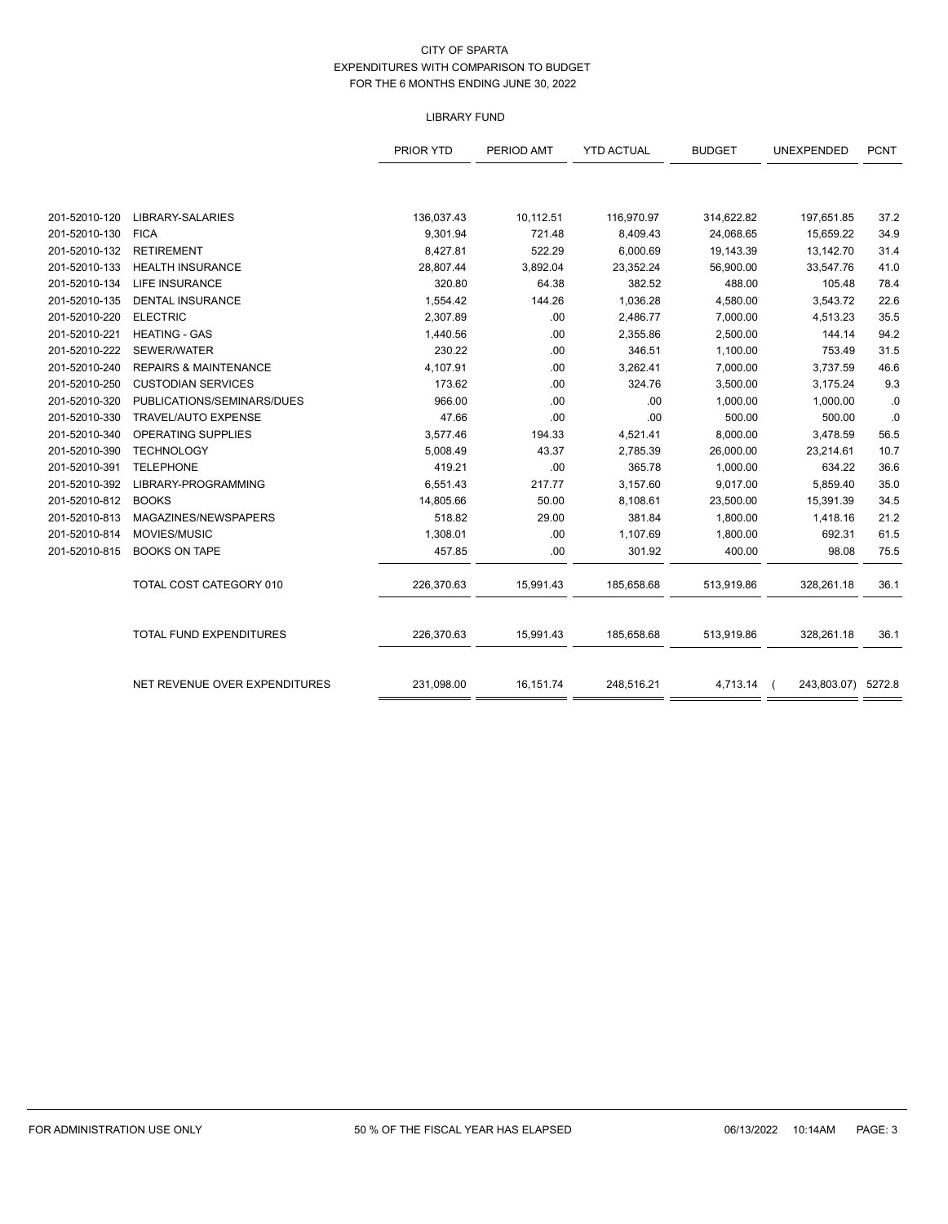## LIBRARY FUND

|               |                                  | PRIOR YTD  | PERIOD AMT | <b>YTD ACTUAL</b> | <b>BUDGET</b> | UNEXPENDED         | <b>PCNT</b> |
|---------------|----------------------------------|------------|------------|-------------------|---------------|--------------------|-------------|
|               |                                  |            |            |                   |               |                    |             |
| 201-52010-120 | LIBRARY-SALARIES                 | 136,037.43 | 10,112.51  | 116,970.97        | 314,622.82    | 197,651.85         | 37.2        |
| 201-52010-130 | <b>FICA</b>                      | 9,301.94   | 721.48     | 8,409.43          | 24,068.65     | 15,659.22          | 34.9        |
| 201-52010-132 | <b>RETIREMENT</b>                | 8,427.81   | 522.29     | 6,000.69          | 19,143.39     | 13,142.70          | 31.4        |
| 201-52010-133 | <b>HEALTH INSURANCE</b>          | 28,807.44  | 3,892.04   | 23,352.24         | 56,900.00     | 33,547.76          | 41.0        |
| 201-52010-134 | LIFE INSURANCE                   | 320.80     | 64.38      | 382.52            | 488.00        | 105.48             | 78.4        |
| 201-52010-135 | <b>DENTAL INSURANCE</b>          | 1,554.42   | 144.26     | 1,036.28          | 4,580.00      | 3,543.72           | 22.6        |
| 201-52010-220 | <b>ELECTRIC</b>                  | 2,307.89   | .00        | 2,486.77          | 7,000.00      | 4,513.23           | 35.5        |
| 201-52010-221 | <b>HEATING - GAS</b>             | 1,440.56   | .00        | 2,355.86          | 2,500.00      | 144.14             | 94.2        |
| 201-52010-222 | SEWER/WATER                      | 230.22     | .00        | 346.51            | 1,100.00      | 753.49             | 31.5        |
| 201-52010-240 | <b>REPAIRS &amp; MAINTENANCE</b> | 4,107.91   | .00        | 3,262.41          | 7,000.00      | 3,737.59           | 46.6        |
| 201-52010-250 | <b>CUSTODIAN SERVICES</b>        | 173.62     | .00        | 324.76            | 3,500.00      | 3,175.24           | 9.3         |
| 201-52010-320 | PUBLICATIONS/SEMINARS/DUES       | 966.00     | .00        | .00               | 1,000.00      | 1,000.00           | .0          |
| 201-52010-330 | TRAVEL/AUTO EXPENSE              | 47.66      | .00        | .00               | 500.00        | 500.00             | .0          |
| 201-52010-340 | OPERATING SUPPLIES               | 3,577.46   | 194.33     | 4,521.41          | 8,000.00      | 3,478.59           | 56.5        |
| 201-52010-390 | <b>TECHNOLOGY</b>                | 5,008.49   | 43.37      | 2,785.39          | 26,000.00     | 23,214.61          | 10.7        |
| 201-52010-391 | <b>TELEPHONE</b>                 | 419.21     | .00        | 365.78            | 1,000.00      | 634.22             | 36.6        |
| 201-52010-392 | LIBRARY-PROGRAMMING              | 6,551.43   | 217.77     | 3,157.60          | 9,017.00      | 5,859.40           | 35.0        |
| 201-52010-812 | <b>BOOKS</b>                     | 14,805.66  | 50.00      | 8,108.61          | 23,500.00     | 15,391.39          | 34.5        |
| 201-52010-813 | MAGAZINES/NEWSPAPERS             | 518.82     | 29.00      | 381.84            | 1,800.00      | 1,418.16           | 21.2        |
| 201-52010-814 | MOVIES/MUSIC                     | 1,308.01   | .00        | 1,107.69          | 1,800.00      | 692.31             | 61.5        |
| 201-52010-815 | <b>BOOKS ON TAPE</b>             | 457.85     | .00        | 301.92            | 400.00        | 98.08              | 75.5        |
|               | TOTAL COST CATEGORY 010          | 226,370.63 | 15,991.43  | 185,658.68        | 513,919.86    | 328,261.18         | 36.1        |
|               | <b>TOTAL FUND EXPENDITURES</b>   | 226,370.63 | 15,991.43  | 185,658.68        | 513,919.86    | 328,261.18         | 36.1        |
|               | NET REVENUE OVER EXPENDITURES    | 231,098.00 | 16,151.74  | 248,516.21        | 4,713.14      | 243,803.07) 5272.8 |             |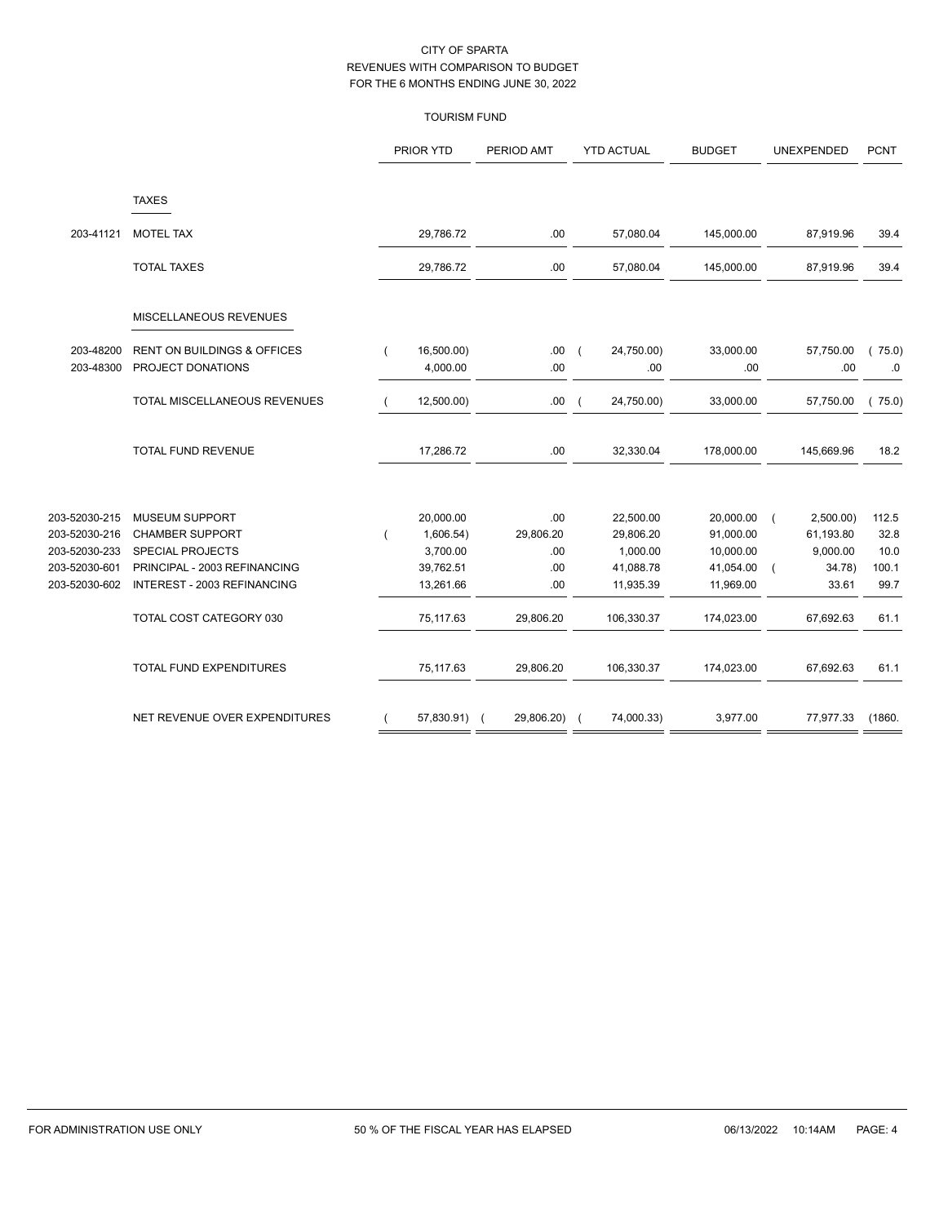## TOURISM FUND

|               |                                        | PRIOR YTD    | PERIOD AMT | <b>YTD ACTUAL</b>                      | <b>BUDGET</b> | UNEXPENDED | <b>PCNT</b> |
|---------------|----------------------------------------|--------------|------------|----------------------------------------|---------------|------------|-------------|
|               | <b>TAXES</b>                           |              |            |                                        |               |            |             |
| 203-41121     | <b>MOTEL TAX</b>                       | 29,786.72    | .00        | 57,080.04                              | 145,000.00    | 87,919.96  | 39.4        |
|               | <b>TOTAL TAXES</b>                     | 29,786.72    | .00        | 57,080.04                              | 145,000.00    | 87,919.96  | 39.4        |
|               | MISCELLANEOUS REVENUES                 |              |            |                                        |               |            |             |
| 203-48200     | <b>RENT ON BUILDINGS &amp; OFFICES</b> | 16,500.00)   | .00.       | 24,750.00)<br>$\overline{\phantom{a}}$ | 33,000.00     | 57,750.00  | 75.0)       |
| 203-48300     | PROJECT DONATIONS                      | 4,000.00     | .00        | .00                                    | .00           | .00        | .0          |
|               | TOTAL MISCELLANEOUS REVENUES           | 12,500.00)   | .00.       | 24,750.00)<br>$\overline{ }$           | 33,000.00     | 57,750.00  | 75.0)       |
|               | <b>TOTAL FUND REVENUE</b>              | 17,286.72    | .00        | 32,330.04                              | 178,000.00    | 145,669.96 | 18.2        |
| 203-52030-215 | <b>MUSEUM SUPPORT</b>                  | 20,000.00    | .00        | 22,500.00                              | 20,000.00     | 2,500.00   | 112.5       |
| 203-52030-216 | <b>CHAMBER SUPPORT</b>                 | 1,606.54)    | 29,806.20  | 29,806.20                              | 91,000.00     | 61,193.80  | 32.8        |
| 203-52030-233 | <b>SPECIAL PROJECTS</b>                | 3,700.00     | .00        | 1,000.00                               | 10,000.00     | 9,000.00   | 10.0        |
| 203-52030-601 | PRINCIPAL - 2003 REFINANCING           | 39,762.51    | .00        | 41,088.78                              | 41,054.00     | 34.78)     | 100.1       |
| 203-52030-602 | INTEREST - 2003 REFINANCING            | 13,261.66    | .00        | 11,935.39                              | 11,969.00     | 33.61      | 99.7        |
|               | TOTAL COST CATEGORY 030                | 75,117.63    | 29,806.20  | 106,330.37                             | 174,023.00    | 67,692.63  | 61.1        |
|               | TOTAL FUND EXPENDITURES                | 75,117.63    | 29,806.20  | 106,330.37                             | 174,023.00    | 67,692.63  | 61.1        |
|               | NET REVENUE OVER EXPENDITURES          | 57,830.91) ( | 29,806.20) | 74,000.33)                             | 3,977.00      | 77,977.33  | (1860.      |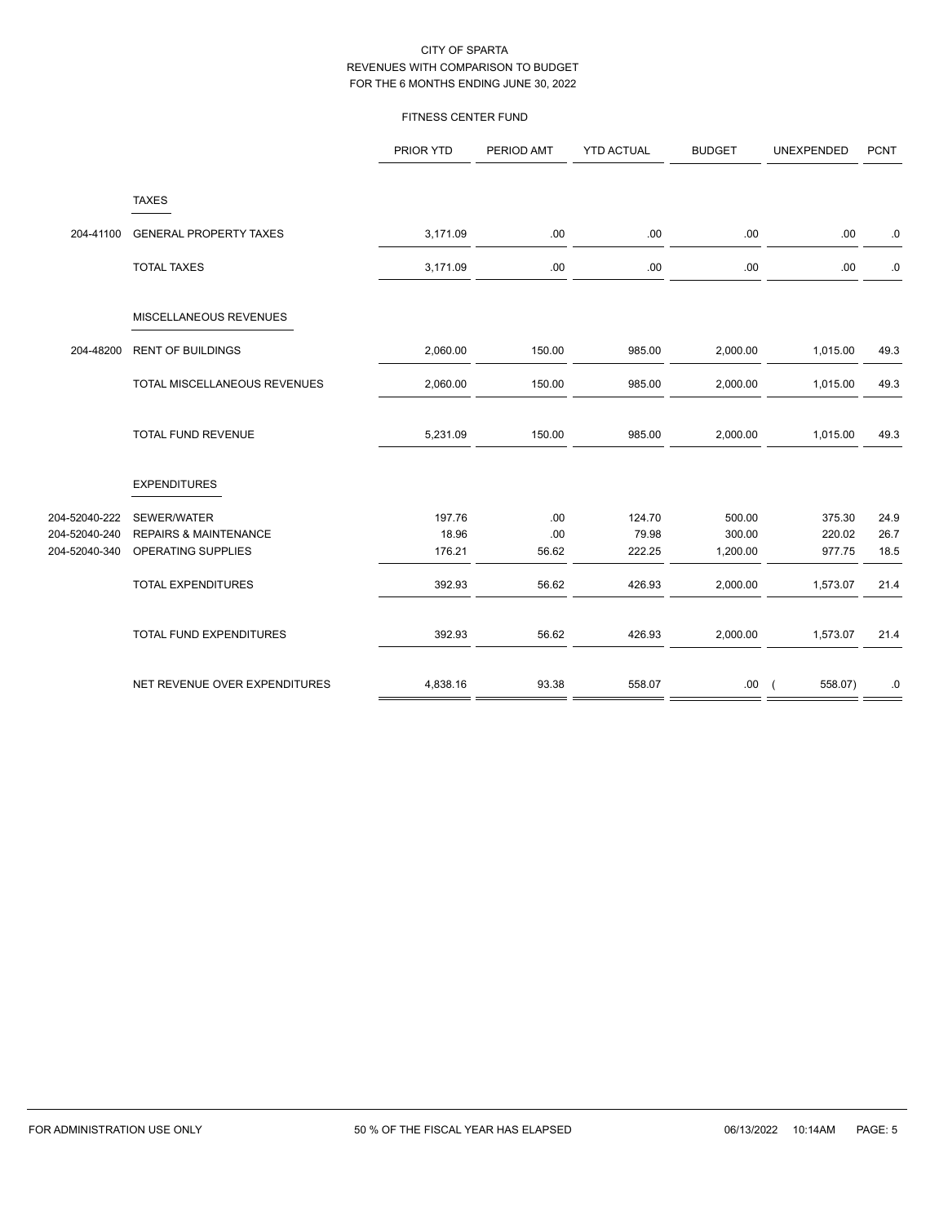#### FITNESS CENTER FUND

| <b>TAXES</b><br>204-41100<br><b>GENERAL PROPERTY TAXES</b><br>3,171.09<br>.00<br>.00<br>.00<br>.00<br><b>TOTAL TAXES</b><br>3,171.09<br>.00<br>.00<br>.00<br>.00<br>MISCELLANEOUS REVENUES<br>204-48200<br><b>RENT OF BUILDINGS</b><br>2,060.00<br>150.00<br>985.00<br>2,000.00<br>1,015.00<br>TOTAL MISCELLANEOUS REVENUES<br>2,060.00<br>150.00<br>985.00<br>2,000.00<br>1,015.00<br>49.3<br><b>TOTAL FUND REVENUE</b><br>5,231.09<br>150.00<br>985.00<br>2,000.00<br>1,015.00<br><b>EXPENDITURES</b><br>.00<br>124.70<br>SEWER/WATER<br>197.76<br>500.00<br>375.30<br>24.9<br><b>REPAIRS &amp; MAINTENANCE</b><br>18.96<br>.00<br>79.98<br>300.00<br>220.02<br>26.7<br>56.62<br>OPERATING SUPPLIES<br>176.21<br>222.25<br>18.5<br>1,200.00<br>977.75<br><b>TOTAL EXPENDITURES</b><br>392.93<br>56.62<br>426.93<br>2,000.00<br>1,573.07<br>21.4<br>TOTAL FUND EXPENDITURES<br>392.93<br>56.62<br>426.93<br>2,000.00<br>1,573.07<br>NET REVENUE OVER EXPENDITURES<br>4,838.16<br>93.38<br>558.07<br>558.07)<br>.00.<br>$\sqrt{2}$ |               | PRIOR YTD | PERIOD AMT | <b>YTD ACTUAL</b> | <b>BUDGET</b> | UNEXPENDED | <b>PCNT</b> |
|------------------------------------------------------------------------------------------------------------------------------------------------------------------------------------------------------------------------------------------------------------------------------------------------------------------------------------------------------------------------------------------------------------------------------------------------------------------------------------------------------------------------------------------------------------------------------------------------------------------------------------------------------------------------------------------------------------------------------------------------------------------------------------------------------------------------------------------------------------------------------------------------------------------------------------------------------------------------------------------------------------------------------------|---------------|-----------|------------|-------------------|---------------|------------|-------------|
|                                                                                                                                                                                                                                                                                                                                                                                                                                                                                                                                                                                                                                                                                                                                                                                                                                                                                                                                                                                                                                    |               |           |            |                   |               |            |             |
|                                                                                                                                                                                                                                                                                                                                                                                                                                                                                                                                                                                                                                                                                                                                                                                                                                                                                                                                                                                                                                    |               |           |            |                   |               |            | 0.          |
|                                                                                                                                                                                                                                                                                                                                                                                                                                                                                                                                                                                                                                                                                                                                                                                                                                                                                                                                                                                                                                    |               |           |            |                   |               |            | $\cdot$ 0   |
|                                                                                                                                                                                                                                                                                                                                                                                                                                                                                                                                                                                                                                                                                                                                                                                                                                                                                                                                                                                                                                    |               |           |            |                   |               |            |             |
|                                                                                                                                                                                                                                                                                                                                                                                                                                                                                                                                                                                                                                                                                                                                                                                                                                                                                                                                                                                                                                    |               |           |            |                   |               |            | 49.3        |
|                                                                                                                                                                                                                                                                                                                                                                                                                                                                                                                                                                                                                                                                                                                                                                                                                                                                                                                                                                                                                                    |               |           |            |                   |               |            |             |
|                                                                                                                                                                                                                                                                                                                                                                                                                                                                                                                                                                                                                                                                                                                                                                                                                                                                                                                                                                                                                                    |               |           |            |                   |               |            | 49.3        |
|                                                                                                                                                                                                                                                                                                                                                                                                                                                                                                                                                                                                                                                                                                                                                                                                                                                                                                                                                                                                                                    |               |           |            |                   |               |            |             |
| 204-52040-240<br>204-52040-340                                                                                                                                                                                                                                                                                                                                                                                                                                                                                                                                                                                                                                                                                                                                                                                                                                                                                                                                                                                                     | 204-52040-222 |           |            |                   |               |            |             |
|                                                                                                                                                                                                                                                                                                                                                                                                                                                                                                                                                                                                                                                                                                                                                                                                                                                                                                                                                                                                                                    |               |           |            |                   |               |            |             |
|                                                                                                                                                                                                                                                                                                                                                                                                                                                                                                                                                                                                                                                                                                                                                                                                                                                                                                                                                                                                                                    |               |           |            |                   |               |            |             |
|                                                                                                                                                                                                                                                                                                                                                                                                                                                                                                                                                                                                                                                                                                                                                                                                                                                                                                                                                                                                                                    |               |           |            |                   |               |            |             |
|                                                                                                                                                                                                                                                                                                                                                                                                                                                                                                                                                                                                                                                                                                                                                                                                                                                                                                                                                                                                                                    |               |           |            |                   |               |            | 21.4        |
|                                                                                                                                                                                                                                                                                                                                                                                                                                                                                                                                                                                                                                                                                                                                                                                                                                                                                                                                                                                                                                    |               |           |            |                   |               |            | .0          |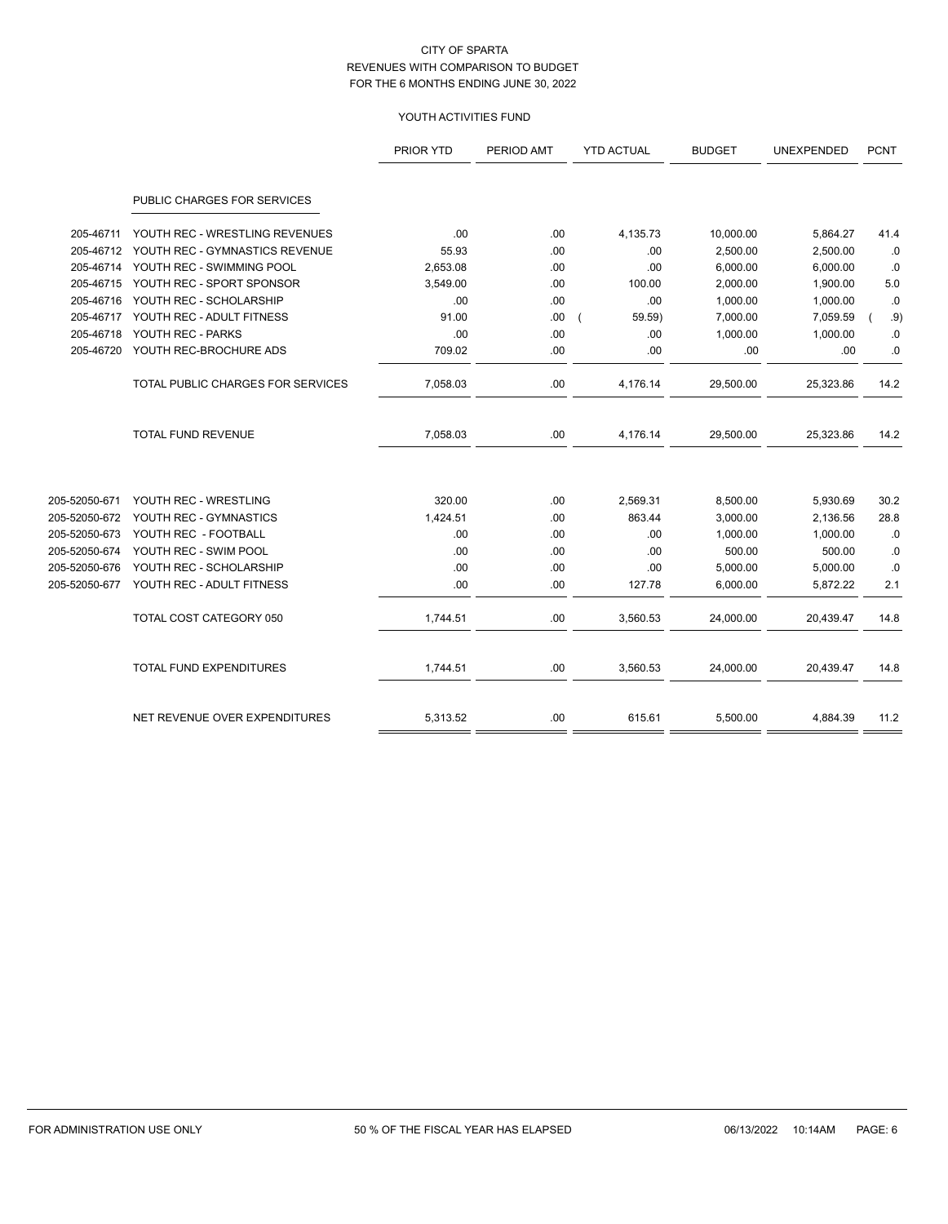## YOUTH ACTIVITIES FUND

|               |                                   | PRIOR YTD | PERIOD AMT | <b>YTD ACTUAL</b> | <b>BUDGET</b> | UNEXPENDED | <b>PCNT</b> |
|---------------|-----------------------------------|-----------|------------|-------------------|---------------|------------|-------------|
|               | PUBLIC CHARGES FOR SERVICES       |           |            |                   |               |            |             |
| 205-46711     | YOUTH REC - WRESTLING REVENUES    | .00       | .00        | 4,135.73          | 10,000.00     | 5,864.27   | 41.4        |
| 205-46712     | YOUTH REC - GYMNASTICS REVENUE    | 55.93     | .00        | .00               | 2,500.00      | 2,500.00   | .0          |
| 205-46714     | YOUTH REC - SWIMMING POOL         | 2,653.08  | .00        | .00               | 6,000.00      | 6,000.00   | .0          |
| 205-46715     | YOUTH REC - SPORT SPONSOR         | 3,549.00  | .00        | 100.00            | 2,000.00      | 1,900.00   | 5.0         |
| 205-46716     | YOUTH REC - SCHOLARSHIP           | .00       | .00        | .00               | 1,000.00      | 1,000.00   | .0          |
| 205-46717     | YOUTH REC - ADULT FITNESS         | 91.00     | .00        | 59.59)            | 7,000.00      | 7,059.59   | .9)         |
| 205-46718     | YOUTH REC - PARKS                 | .00       | .00        | .00               | 1,000.00      | 1,000.00   | 0.0         |
| 205-46720     | YOUTH REC-BROCHURE ADS            | 709.02    | .00        | .00               | .00           | .00        | .0          |
|               | TOTAL PUBLIC CHARGES FOR SERVICES | 7,058.03  | .00        | 4,176.14          | 29,500.00     | 25,323.86  | 14.2        |
|               | <b>TOTAL FUND REVENUE</b>         | 7,058.03  | .00        | 4,176.14          | 29,500.00     | 25,323.86  | 14.2        |
| 205-52050-671 | YOUTH REC - WRESTLING             | 320.00    | .00        | 2,569.31          | 8,500.00      | 5,930.69   | 30.2        |
| 205-52050-672 | YOUTH REC - GYMNASTICS            | 1,424.51  | .00        | 863.44            | 3,000.00      | 2,136.56   | 28.8        |
| 205-52050-673 | YOUTH REC - FOOTBALL              | .00       | .00        | .00               | 1,000.00      | 1,000.00   | .0          |
| 205-52050-674 | YOUTH REC - SWIM POOL             | .00       | .00        | .00               | 500.00        | 500.00     | .0          |
| 205-52050-676 | YOUTH REC - SCHOLARSHIP           | .00       | .00        | .00               | 5,000.00      | 5,000.00   | .0          |
| 205-52050-677 | YOUTH REC - ADULT FITNESS         | .00       | .00        | 127.78            | 6,000.00      | 5,872.22   | 2.1         |
|               | TOTAL COST CATEGORY 050           | 1,744.51  | .00        | 3,560.53          | 24,000.00     | 20,439.47  | 14.8        |
|               | TOTAL FUND EXPENDITURES           | 1,744.51  | .00        | 3,560.53          | 24,000.00     | 20,439.47  | 14.8        |
|               | NET REVENUE OVER EXPENDITURES     | 5,313.52  | .00        | 615.61            | 5,500.00      | 4,884.39   | 11.2        |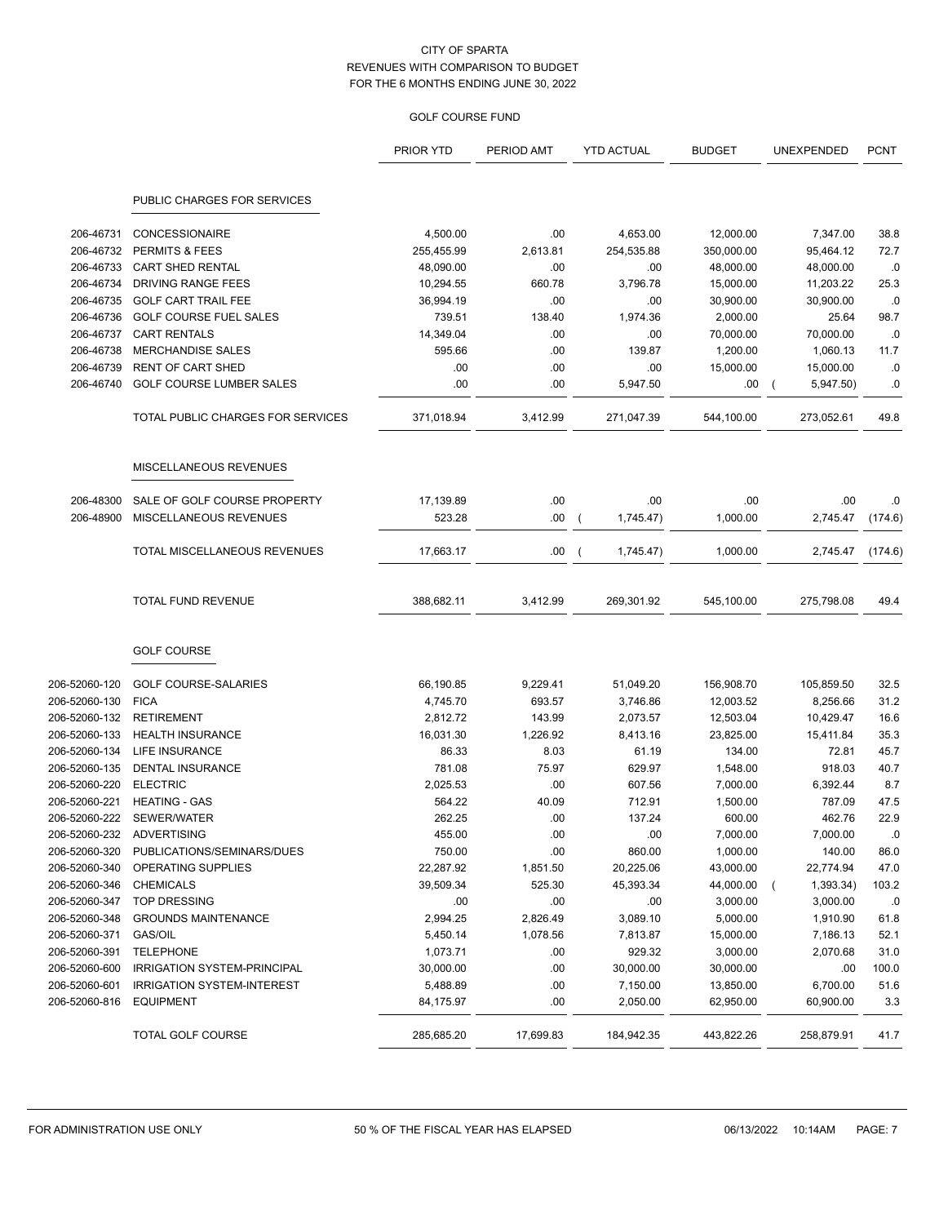## GOLF COURSE FUND

|               |                                   | PRIOR YTD  | PERIOD AMT | <b>YTD ACTUAL</b> | <b>BUDGET</b> | UNEXPENDED            | <b>PCNT</b> |
|---------------|-----------------------------------|------------|------------|-------------------|---------------|-----------------------|-------------|
|               | PUBLIC CHARGES FOR SERVICES       |            |            |                   |               |                       |             |
| 206-46731     | <b>CONCESSIONAIRE</b>             | 4,500.00   | .00        | 4,653.00          | 12,000.00     | 7,347.00              | 38.8        |
| 206-46732     | PERMITS & FEES                    | 255,455.99 | 2,613.81   | 254,535.88        | 350,000.00    | 95,464.12             | 72.7        |
| 206-46733     | <b>CART SHED RENTAL</b>           | 48,090.00  | .00        | .00               | 48,000.00     | 48,000.00             | .0          |
| 206-46734     | DRIVING RANGE FEES                | 10,294.55  | 660.78     | 3,796.78          | 15,000.00     | 11,203.22             | 25.3        |
| 206-46735     | <b>GOLF CART TRAIL FEE</b>        | 36,994.19  | .00        | .00               | 30,900.00     | 30,900.00             | .0          |
| 206-46736     | <b>GOLF COURSE FUEL SALES</b>     | 739.51     | 138.40     | 1,974.36          | 2,000.00      | 25.64                 | 98.7        |
| 206-46737     | <b>CART RENTALS</b>               | 14,349.04  | .00        | .00               | 70,000.00     | 70,000.00             | .0          |
| 206-46738     | <b>MERCHANDISE SALES</b>          | 595.66     | .00        | 139.87            | 1,200.00      | 1,060.13              | 11.7        |
| 206-46739     | <b>RENT OF CART SHED</b>          | .00        | .00        | .00               | 15,000.00     | 15,000.00             | .0          |
| 206-46740     | <b>GOLF COURSE LUMBER SALES</b>   | .00        | .00        | 5,947.50          | .00           | 5,947.50)<br>$\left($ | .0          |
|               | TOTAL PUBLIC CHARGES FOR SERVICES | 371,018.94 | 3,412.99   | 271,047.39        | 544,100.00    | 273,052.61            | 49.8        |
|               | MISCELLANEOUS REVENUES            |            |            |                   |               |                       |             |
| 206-48300     | SALE OF GOLF COURSE PROPERTY      | 17,139.89  | .00        | .00               | .00           | .00.                  | .0          |
| 206-48900     | MISCELLANEOUS REVENUES            | 523.28     | .00        | 1,745.47)         | 1,000.00      | 2,745.47              | (174.6)     |
|               | TOTAL MISCELLANEOUS REVENUES      | 17,663.17  | .00.       | 1,745.47)         | 1,000.00      | 2,745.47              | (174.6)     |
|               | <b>TOTAL FUND REVENUE</b>         | 388,682.11 | 3,412.99   | 269,301.92        | 545,100.00    | 275,798.08            | 49.4        |
|               | <b>GOLF COURSE</b>                |            |            |                   |               |                       |             |
| 206-52060-120 | <b>GOLF COURSE-SALARIES</b>       | 66,190.85  | 9,229.41   | 51,049.20         | 156,908.70    | 105,859.50            | 32.5        |
| 206-52060-130 | <b>FICA</b>                       | 4,745.70   | 693.57     | 3,746.86          | 12,003.52     | 8,256.66              | 31.2        |
| 206-52060-132 | <b>RETIREMENT</b>                 | 2,812.72   | 143.99     | 2,073.57          | 12,503.04     | 10,429.47             | 16.6        |
| 206-52060-133 | <b>HEALTH INSURANCE</b>           | 16,031.30  | 1,226.92   | 8,413.16          | 23,825.00     | 15,411.84             | 35.3        |
| 206-52060-134 | <b>LIFE INSURANCE</b>             | 86.33      | 8.03       | 61.19             | 134.00        | 72.81                 | 45.7        |
| 206-52060-135 | DENTAL INSURANCE                  | 781.08     | 75.97      | 629.97            | 1,548.00      | 918.03                | 40.7        |
| 206-52060-220 | <b>ELECTRIC</b>                   | 2,025.53   | .00        | 607.56            | 7,000.00      | 6,392.44              | 8.7         |
| 206-52060-221 | <b>HEATING - GAS</b>              | 564.22     | 40.09      | 712.91            | 1,500.00      | 787.09                | 47.5        |
| 206-52060-222 | SEWER/WATER                       | 262.25     | .00        | 137.24            | 600.00        | 462.76                | 22.9        |
| 206-52060-232 | ADVERTISING                       | 455.00     | .00        | .00               | 7,000.00      | 7,000.00              | .0          |
| 206-52060-320 | PUBLICATIONS/SEMINARS/DUES        | 750.00     | .00        | 860.00            | 1,000.00      | 140.00                | 86.0        |
| 206-52060-340 | OPERATING SUPPLIES                | 22,287.92  | 1,851.50   | 20,225.06         | 43,000.00     | 22,774.94             | 47.0        |
| 206-52060-346 | <b>CHEMICALS</b>                  | 39,509.34  | 525.30     | 45,393.34         | 44,000.00     | 1,393.34)             | 103.2       |
| 206-52060-347 | <b>TOP DRESSING</b>               | .00        | .00        | .00               | 3,000.00      | 3,000.00              | .0          |
| 206-52060-348 | <b>GROUNDS MAINTENANCE</b>        | 2,994.25   | 2,826.49   | 3,089.10          | 5,000.00      | 1,910.90              | 61.8        |
| 206-52060-371 | GAS/OIL                           | 5,450.14   | 1,078.56   | 7,813.87          | 15,000.00     | 7,186.13              | 52.1        |
| 206-52060-391 | <b>TELEPHONE</b>                  | 1,073.71   | .00        | 929.32            | 3,000.00      | 2,070.68              | 31.0        |
| 206-52060-600 | IRRIGATION SYSTEM-PRINCIPAL       | 30,000.00  | .00        | 30,000.00         | 30,000.00     | .00                   | 100.0       |
| 206-52060-601 | <b>IRRIGATION SYSTEM-INTEREST</b> | 5,488.89   | .00        | 7,150.00          | 13,850.00     | 6,700.00              | 51.6        |
| 206-52060-816 | <b>EQUIPMENT</b>                  | 84,175.97  | .00        | 2,050.00          | 62,950.00     | 60,900.00             | 3.3         |
|               | <b>TOTAL GOLF COURSE</b>          | 285,685.20 | 17,699.83  | 184,942.35        | 443,822.26    | 258,879.91            | 41.7        |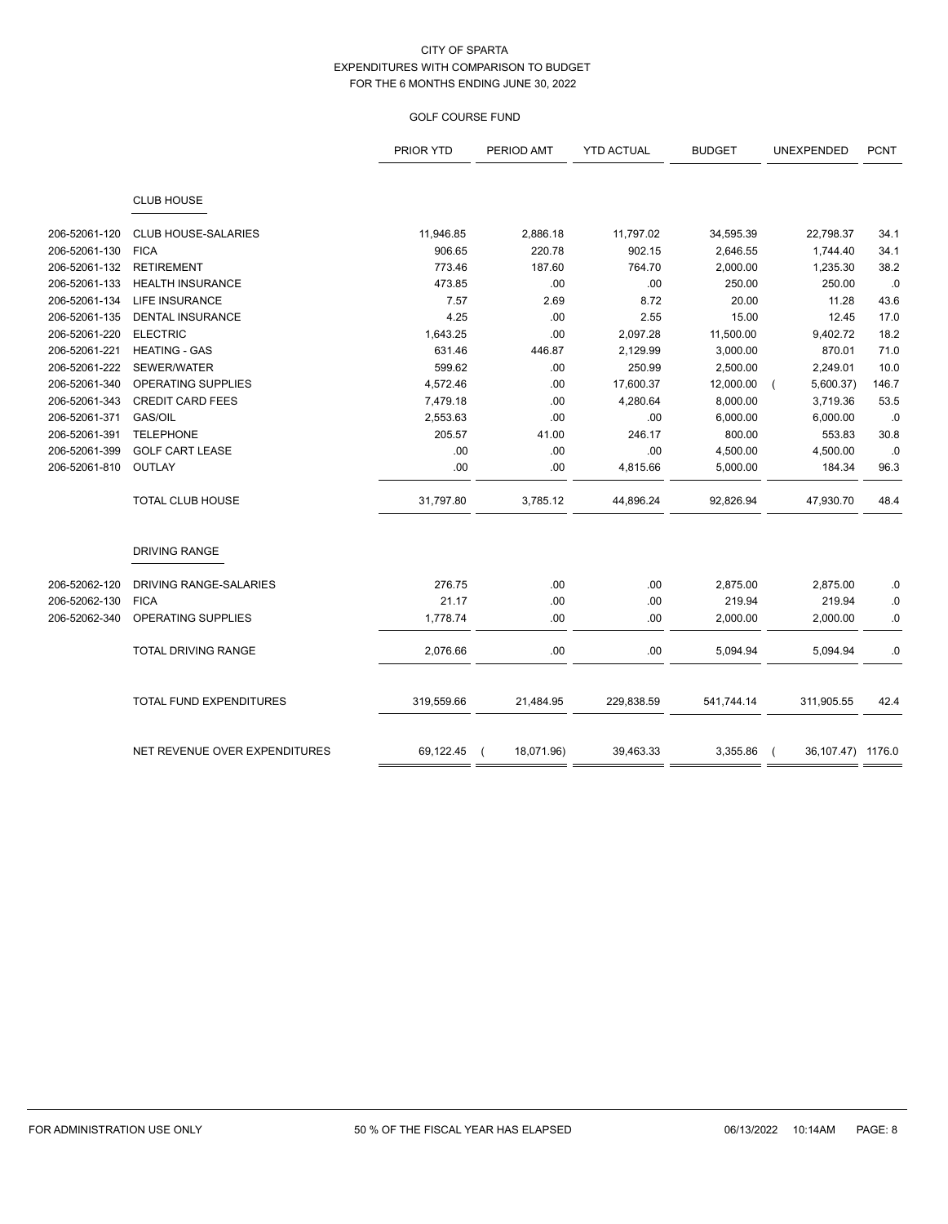## GOLF COURSE FUND

|               |                               | PRIOR YTD  | PERIOD AMT | <b>YTD ACTUAL</b> | <b>BUDGET</b> | UNEXPENDED              | <b>PCNT</b> |
|---------------|-------------------------------|------------|------------|-------------------|---------------|-------------------------|-------------|
|               |                               |            |            |                   |               |                         |             |
|               | <b>CLUB HOUSE</b>             |            |            |                   |               |                         |             |
| 206-52061-120 | <b>CLUB HOUSE-SALARIES</b>    | 11,946.85  | 2,886.18   | 11,797.02         | 34,595.39     | 22,798.37               | 34.1        |
| 206-52061-130 | <b>FICA</b>                   | 906.65     | 220.78     | 902.15            | 2,646.55      | 1,744.40                | 34.1        |
| 206-52061-132 | <b>RETIREMENT</b>             | 773.46     | 187.60     | 764.70            | 2,000.00      | 1,235.30                | 38.2        |
| 206-52061-133 | <b>HEALTH INSURANCE</b>       | 473.85     | .00        | .00               | 250.00        | 250.00                  | .0          |
| 206-52061-134 | <b>LIFE INSURANCE</b>         | 7.57       | 2.69       | 8.72              | 20.00         | 11.28                   | 43.6        |
| 206-52061-135 | <b>DENTAL INSURANCE</b>       | 4.25       | .00        | 2.55              | 15.00         | 12.45                   | 17.0        |
| 206-52061-220 | <b>ELECTRIC</b>               | 1,643.25   | .00        | 2,097.28          | 11,500.00     | 9,402.72                | 18.2        |
| 206-52061-221 | <b>HEATING - GAS</b>          | 631.46     | 446.87     | 2,129.99          | 3,000.00      | 870.01                  | 71.0        |
| 206-52061-222 | SEWER/WATER                   | 599.62     | .00        | 250.99            | 2,500.00      | 2,249.01                | 10.0        |
| 206-52061-340 | OPERATING SUPPLIES            | 4,572.46   | .00        | 17,600.37         | 12,000.00     | 5,600.37)<br>$\sqrt{ }$ | 146.7       |
| 206-52061-343 | <b>CREDIT CARD FEES</b>       | 7,479.18   | .00        | 4,280.64          | 8,000.00      | 3,719.36                | 53.5        |
| 206-52061-371 | GAS/OIL                       | 2,553.63   | .00        | .00               | 6,000.00      | 6,000.00                | .0          |
| 206-52061-391 | <b>TELEPHONE</b>              | 205.57     | 41.00      | 246.17            | 800.00        | 553.83                  | 30.8        |
| 206-52061-399 | <b>GOLF CART LEASE</b>        | .00        | .00        | .00               | 4,500.00      | 4,500.00                | .0          |
| 206-52061-810 | <b>OUTLAY</b>                 | .00        | .00        | 4,815.66          | 5,000.00      | 184.34                  | 96.3        |
|               | TOTAL CLUB HOUSE              | 31,797.80  | 3,785.12   | 44,896.24         | 92,826.94     | 47,930.70               | 48.4        |
|               | DRIVING RANGE                 |            |            |                   |               |                         |             |
| 206-52062-120 | DRIVING RANGE-SALARIES        | 276.75     | .00        | .00               | 2,875.00      | 2,875.00                | .0          |
| 206-52062-130 | <b>FICA</b>                   | 21.17      | .00        | .00               | 219.94        | 219.94                  | 0.0         |
| 206-52062-340 | <b>OPERATING SUPPLIES</b>     | 1,778.74   | .00        | .00               | 2,000.00      | 2,000.00                | .0          |
|               | <b>TOTAL DRIVING RANGE</b>    | 2,076.66   | .00        | .00               | 5,094.94      | 5,094.94                | .0          |
|               | TOTAL FUND EXPENDITURES       | 319,559.66 | 21,484.95  | 229,838.59        | 541,744.14    | 311,905.55              | 42.4        |
|               | NET REVENUE OVER EXPENDITURES | 69,122.45  | 18,071.96) | 39,463.33         | 3,355.86      | 36, 107.47) 1176.0      |             |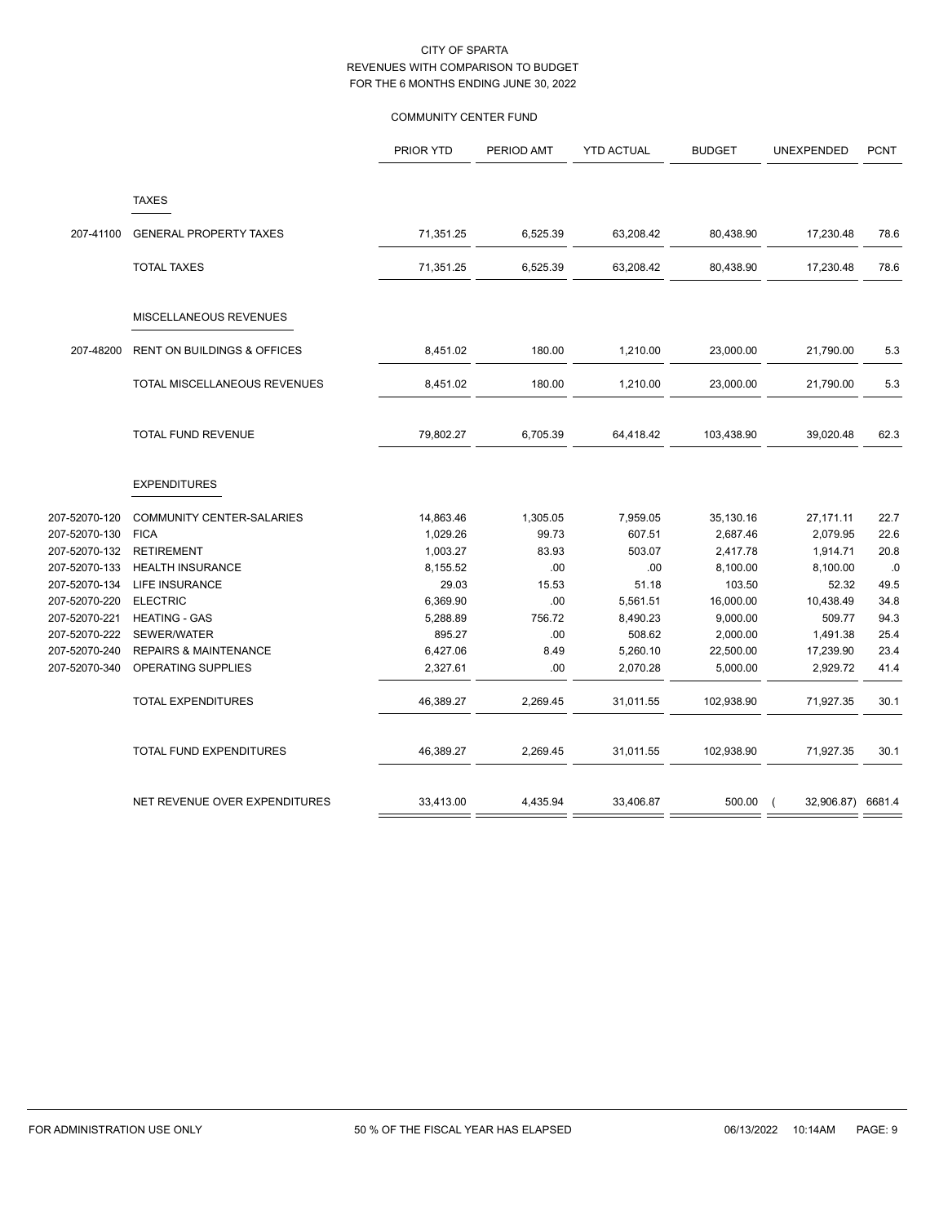# COMMUNITY CENTER FUND

|                                |                                                        | PRIOR YTD            | PERIOD AMT   | <b>YTD ACTUAL</b>    | <b>BUDGET</b>         | UNEXPENDED            | <b>PCNT</b>  |
|--------------------------------|--------------------------------------------------------|----------------------|--------------|----------------------|-----------------------|-----------------------|--------------|
|                                | <b>TAXES</b>                                           |                      |              |                      |                       |                       |              |
| 207-41100                      | <b>GENERAL PROPERTY TAXES</b>                          | 71,351.25            | 6,525.39     | 63,208.42            | 80,438.90             | 17,230.48             | 78.6         |
|                                | <b>TOTAL TAXES</b>                                     | 71,351.25            | 6,525.39     | 63,208.42            | 80,438.90             | 17,230.48             | 78.6         |
|                                | MISCELLANEOUS REVENUES                                 |                      |              |                      |                       |                       |              |
| 207-48200                      | <b>RENT ON BUILDINGS &amp; OFFICES</b>                 | 8,451.02             | 180.00       | 1,210.00             | 23,000.00             | 21,790.00             | 5.3          |
|                                | TOTAL MISCELLANEOUS REVENUES                           | 8,451.02             | 180.00       | 1,210.00             | 23,000.00             | 21,790.00             | 5.3          |
|                                | <b>TOTAL FUND REVENUE</b>                              | 79,802.27            | 6,705.39     | 64,418.42            | 103,438.90            | 39,020.48             | 62.3         |
|                                | <b>EXPENDITURES</b>                                    |                      |              |                      |                       |                       |              |
| 207-52070-120                  | <b>COMMUNITY CENTER-SALARIES</b>                       | 14,863.46            | 1,305.05     | 7,959.05             | 35,130.16             | 27,171.11             | 22.7         |
| 207-52070-130                  | <b>FICA</b>                                            | 1,029.26             | 99.73        | 607.51               | 2,687.46              | 2,079.95              | 22.6         |
| 207-52070-132                  | <b>RETIREMENT</b>                                      | 1,003.27             | 83.93        | 503.07               | 2,417.78              | 1,914.71              | 20.8         |
| 207-52070-133                  | <b>HEALTH INSURANCE</b>                                | 8,155.52             | .00.         | .00                  | 8,100.00              | 8,100.00              | .0           |
| 207-52070-134                  | <b>LIFE INSURANCE</b>                                  | 29.03                | 15.53        | 51.18                | 103.50                | 52.32                 | 49.5         |
| 207-52070-220                  | <b>ELECTRIC</b>                                        | 6,369.90             | .00.         | 5,561.51             | 16,000.00             | 10,438.49             | 34.8         |
| 207-52070-221                  | <b>HEATING - GAS</b>                                   | 5,288.89             | 756.72       | 8,490.23             | 9,000.00              | 509.77                | 94.3         |
| 207-52070-222                  | SEWER/WATER                                            | 895.27               | .00.         | 508.62               | 2,000.00              | 1,491.38              | 25.4         |
| 207-52070-240<br>207-52070-340 | <b>REPAIRS &amp; MAINTENANCE</b><br>OPERATING SUPPLIES | 6,427.06<br>2,327.61 | 8.49<br>.00. | 5,260.10<br>2,070.28 | 22,500.00<br>5,000.00 | 17,239.90<br>2,929.72 | 23.4<br>41.4 |
|                                | <b>TOTAL EXPENDITURES</b>                              | 46,389.27            | 2,269.45     | 31,011.55            | 102,938.90            | 71,927.35             | 30.1         |
|                                | TOTAL FUND EXPENDITURES                                | 46,389.27            | 2,269.45     | 31,011.55            | 102,938.90            | 71,927.35             | 30.1         |
|                                | NET REVENUE OVER EXPENDITURES                          | 33,413.00            | 4,435.94     | 33,406.87            | 500.00                | 32,906.87) 6681.4     |              |
|                                |                                                        |                      |              |                      |                       |                       |              |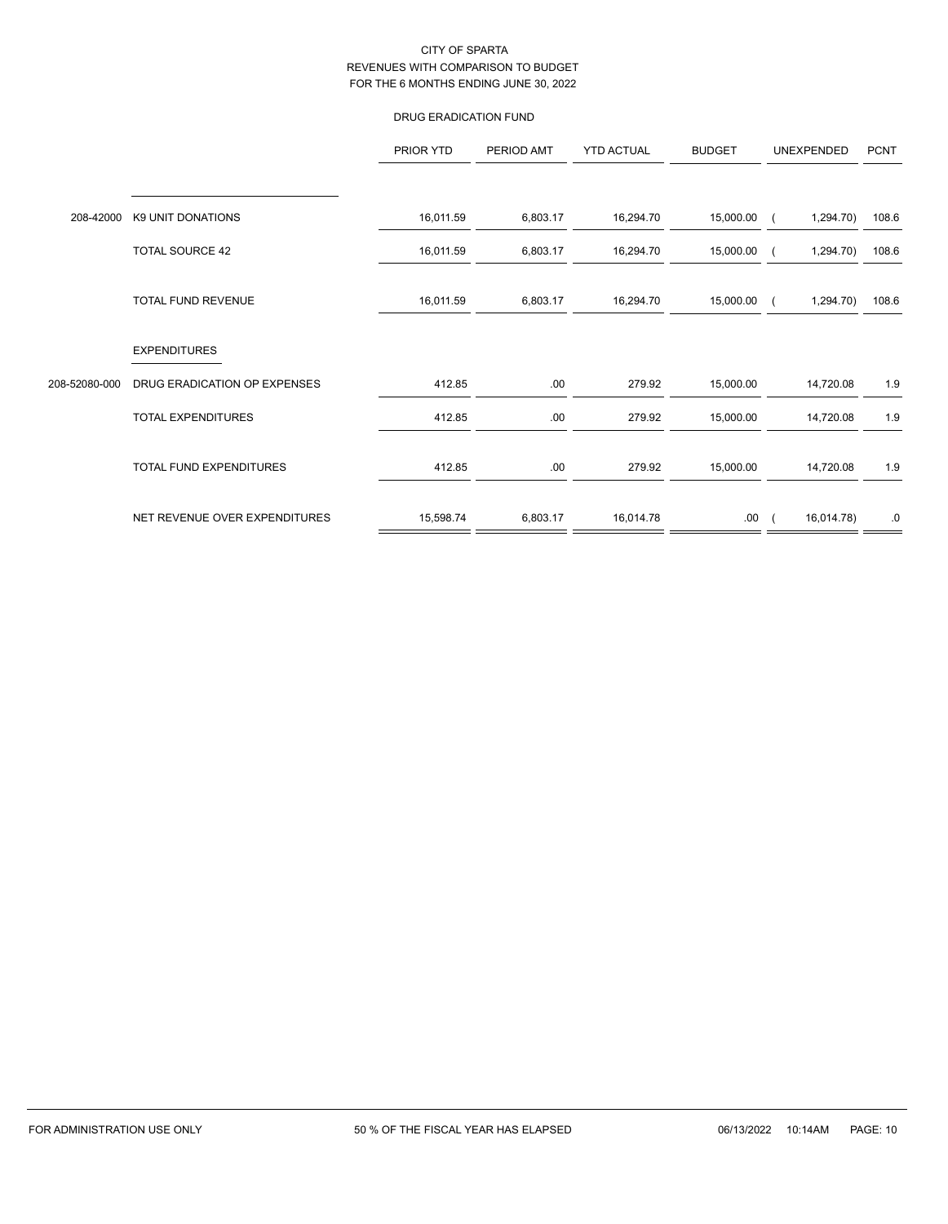## DRUG ERADICATION FUND

|               |                               | PRIOR YTD | PERIOD AMT | <b>YTD ACTUAL</b> | <b>BUDGET</b> | UNEXPENDED | <b>PCNT</b> |
|---------------|-------------------------------|-----------|------------|-------------------|---------------|------------|-------------|
|               |                               |           |            |                   |               |            |             |
| 208-42000     | K9 UNIT DONATIONS             | 16,011.59 | 6,803.17   | 16,294.70         | 15,000.00     | 1,294.70)  | 108.6       |
|               | <b>TOTAL SOURCE 42</b>        | 16,011.59 | 6,803.17   | 16,294.70         | 15,000.00     | 1,294.70)  | 108.6       |
|               | TOTAL FUND REVENUE            | 16,011.59 | 6,803.17   | 16,294.70         | 15,000.00     | 1,294.70)  | 108.6       |
|               | <b>EXPENDITURES</b>           |           |            |                   |               |            |             |
| 208-52080-000 | DRUG ERADICATION OP EXPENSES  | 412.85    | .00        | 279.92            | 15,000.00     | 14,720.08  | 1.9         |
|               | TOTAL EXPENDITURES            | 412.85    | .00        | 279.92            | 15,000.00     | 14,720.08  | 1.9         |
|               | TOTAL FUND EXPENDITURES       | 412.85    | .00        | 279.92            | 15,000.00     | 14,720.08  | 1.9         |
|               | NET REVENUE OVER EXPENDITURES | 15,598.74 | 6,803.17   | 16,014.78         | .00.          | 16,014.78) | .0          |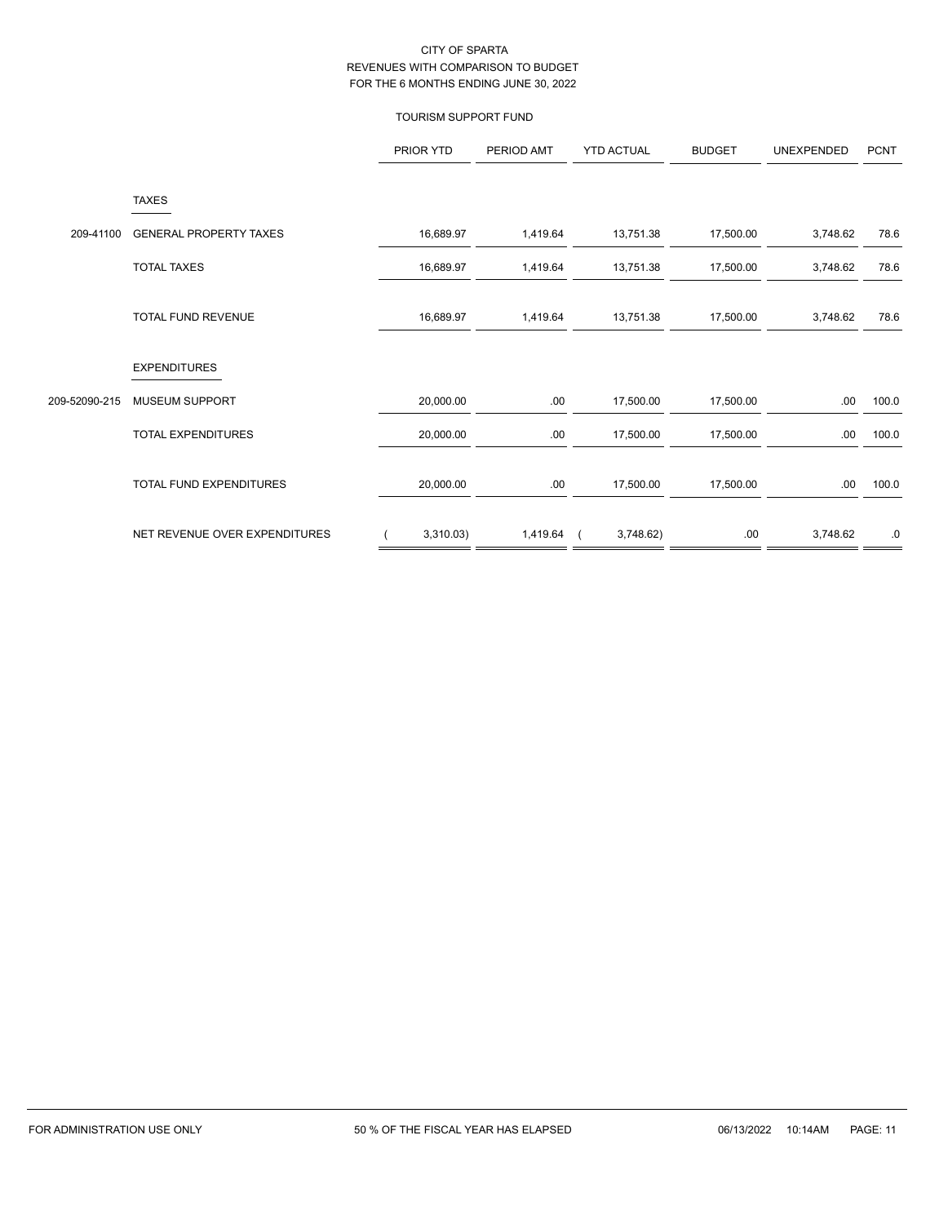## TOURISM SUPPORT FUND

|               |                               | PRIOR YTD | PERIOD AMT | <b>YTD ACTUAL</b> | <b>BUDGET</b> | UNEXPENDED | <b>PCNT</b> |
|---------------|-------------------------------|-----------|------------|-------------------|---------------|------------|-------------|
|               | <b>TAXES</b>                  |           |            |                   |               |            |             |
| 209-41100     | <b>GENERAL PROPERTY TAXES</b> | 16,689.97 | 1,419.64   | 13,751.38         | 17,500.00     | 3,748.62   | 78.6        |
|               | <b>TOTAL TAXES</b>            | 16,689.97 | 1,419.64   | 13,751.38         | 17,500.00     | 3,748.62   | 78.6        |
|               | TOTAL FUND REVENUE            | 16,689.97 | 1,419.64   | 13,751.38         | 17,500.00     | 3,748.62   | 78.6        |
|               | <b>EXPENDITURES</b>           |           |            |                   |               |            |             |
| 209-52090-215 | MUSEUM SUPPORT                | 20,000.00 | .00        | 17,500.00         | 17,500.00     | .00.       | 100.0       |
|               | <b>TOTAL EXPENDITURES</b>     | 20,000.00 | .00        | 17,500.00         | 17,500.00     | .00.       | 100.0       |
|               | TOTAL FUND EXPENDITURES       | 20,000.00 | .00        | 17,500.00         | 17,500.00     | .00.       | 100.0       |
|               | NET REVENUE OVER EXPENDITURES | 3,310.03) | 1,419.64   | 3,748.62)         | .00.          | 3,748.62   | .0          |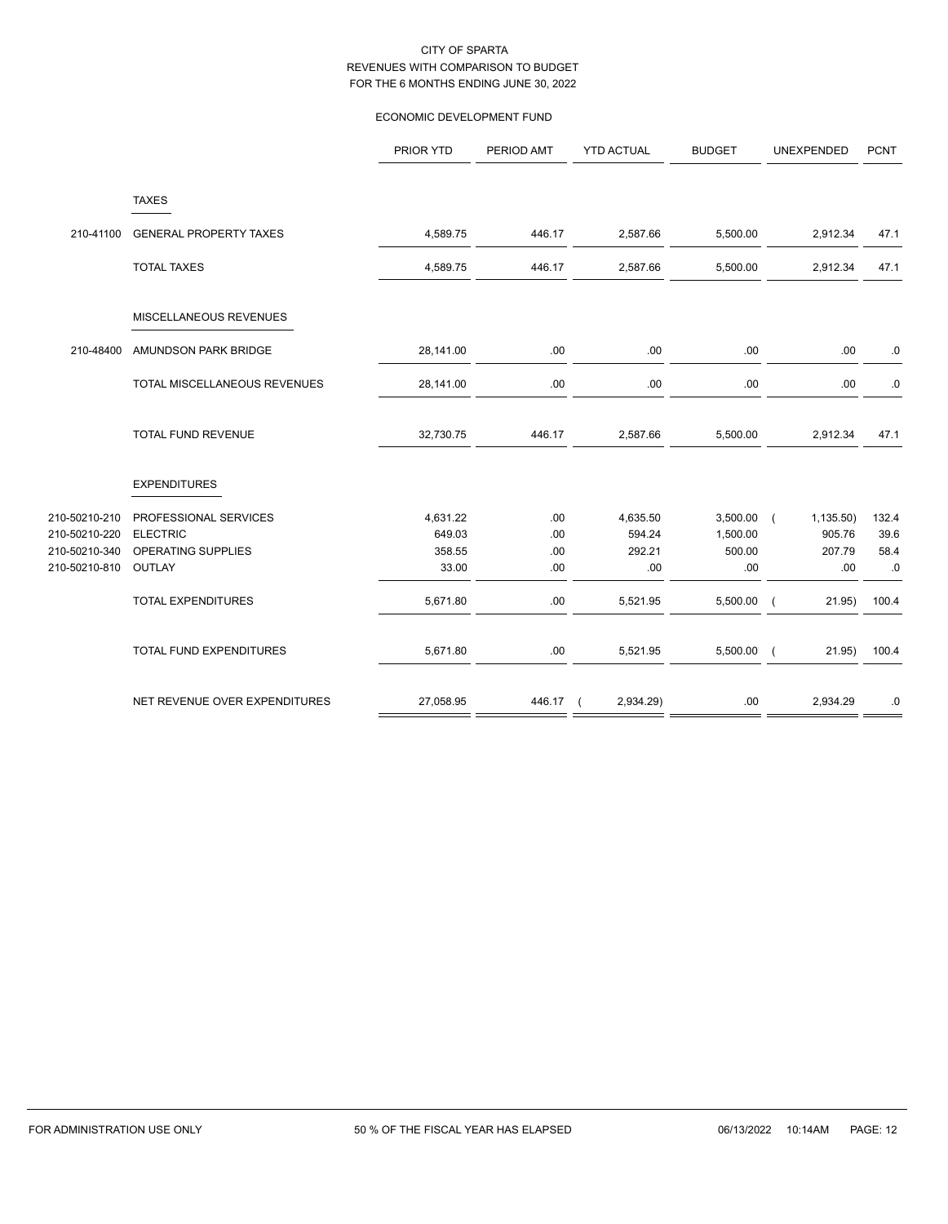## ECONOMIC DEVELOPMENT FUND

|                                                                  |                                                                          | PRIOR YTD                             | PERIOD AMT               | <b>YTD ACTUAL</b>                   | <b>BUDGET</b>                         | UNEXPENDED                                         | <b>PCNT</b>                 |
|------------------------------------------------------------------|--------------------------------------------------------------------------|---------------------------------------|--------------------------|-------------------------------------|---------------------------------------|----------------------------------------------------|-----------------------------|
|                                                                  | <b>TAXES</b>                                                             |                                       |                          |                                     |                                       |                                                    |                             |
| 210-41100                                                        | <b>GENERAL PROPERTY TAXES</b>                                            | 4,589.75                              | 446.17                   | 2,587.66                            | 5,500.00                              | 2,912.34                                           | 47.1                        |
|                                                                  | <b>TOTAL TAXES</b>                                                       | 4,589.75                              | 446.17                   | 2,587.66                            | 5,500.00                              | 2,912.34                                           | 47.1                        |
|                                                                  | MISCELLANEOUS REVENUES                                                   |                                       |                          |                                     |                                       |                                                    |                             |
| 210-48400                                                        | AMUNDSON PARK BRIDGE                                                     | 28,141.00                             | .00                      | .00                                 | .00                                   | .00                                                | .0                          |
|                                                                  | TOTAL MISCELLANEOUS REVENUES                                             | 28,141.00                             | .00                      | .00                                 | .00                                   | .00                                                | .0                          |
|                                                                  | <b>TOTAL FUND REVENUE</b>                                                | 32,730.75                             | 446.17                   | 2,587.66                            | 5,500.00                              | 2,912.34                                           | 47.1                        |
|                                                                  | <b>EXPENDITURES</b>                                                      |                                       |                          |                                     |                                       |                                                    |                             |
| 210-50210-210<br>210-50210-220<br>210-50210-340<br>210-50210-810 | PROFESSIONAL SERVICES<br><b>ELECTRIC</b><br>OPERATING SUPPLIES<br>OUTLAY | 4,631.22<br>649.03<br>358.55<br>33.00 | .00<br>.00<br>.00<br>.00 | 4,635.50<br>594.24<br>292.21<br>.00 | 3,500.00<br>1,500.00<br>500.00<br>.00 | 1,135.50)<br>$\sqrt{ }$<br>905.76<br>207.79<br>.00 | 132.4<br>39.6<br>58.4<br>.0 |
|                                                                  | <b>TOTAL EXPENDITURES</b>                                                | 5,671.80                              | .00                      | 5,521.95                            | 5,500.00                              | 21.95)<br>$\sqrt{ }$                               | 100.4                       |
|                                                                  | TOTAL FUND EXPENDITURES                                                  | 5,671.80                              | .00                      | 5,521.95                            | 5,500.00                              | 21.95)<br>$\sqrt{ }$                               | 100.4                       |
|                                                                  | NET REVENUE OVER EXPENDITURES                                            | 27,058.95                             | 446.17 (                 | 2,934.29)                           | .00                                   | 2,934.29                                           | .0                          |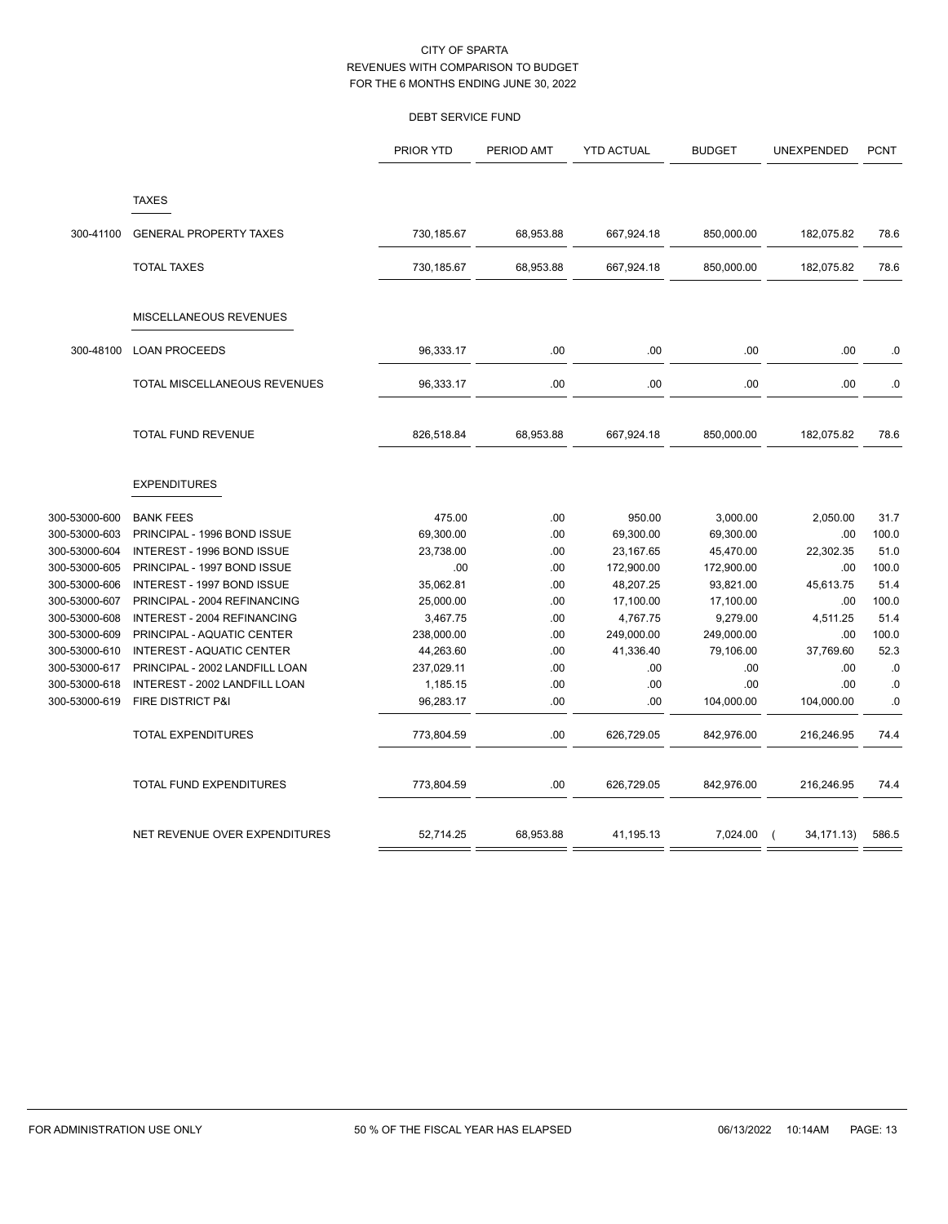## DEBT SERVICE FUND

|               |                                | <b>PRIOR YTD</b> | PERIOD AMT | <b>YTD ACTUAL</b> | <b>BUDGET</b> | UNEXPENDED   | <b>PCNT</b> |
|---------------|--------------------------------|------------------|------------|-------------------|---------------|--------------|-------------|
|               | <b>TAXES</b>                   |                  |            |                   |               |              |             |
|               |                                |                  |            |                   |               |              |             |
| 300-41100     | <b>GENERAL PROPERTY TAXES</b>  | 730,185.67       | 68,953.88  | 667,924.18        | 850,000.00    | 182,075.82   | 78.6        |
|               | <b>TOTAL TAXES</b>             | 730,185.67       | 68,953.88  | 667,924.18        | 850,000.00    | 182,075.82   | 78.6        |
|               |                                |                  |            |                   |               |              |             |
|               | MISCELLANEOUS REVENUES         |                  |            |                   |               |              |             |
| 300-48100     | <b>LOAN PROCEEDS</b>           | 96,333.17        | .00        | .00               | .00           | .00          | .0          |
|               | TOTAL MISCELLANEOUS REVENUES   | 96,333.17        | .00        | .00               | .00           | .00          | $\cdot$ 0   |
|               |                                |                  |            |                   |               |              |             |
|               | <b>TOTAL FUND REVENUE</b>      | 826,518.84       | 68,953.88  | 667,924.18        | 850,000.00    | 182,075.82   | 78.6        |
|               | <b>EXPENDITURES</b>            |                  |            |                   |               |              |             |
| 300-53000-600 | <b>BANK FEES</b>               | 475.00           | .00        | 950.00            | 3,000.00      | 2,050.00     | 31.7        |
| 300-53000-603 | PRINCIPAL - 1996 BOND ISSUE    | 69,300.00        | .00        | 69,300.00         | 69,300.00     | .00          | 100.0       |
| 300-53000-604 | INTEREST - 1996 BOND ISSUE     | 23,738.00        | .00        | 23,167.65         | 45,470.00     | 22,302.35    | 51.0        |
| 300-53000-605 | PRINCIPAL - 1997 BOND ISSUE    | .00              | .00        | 172,900.00        | 172,900.00    | .00          | 100.0       |
| 300-53000-606 | INTEREST - 1997 BOND ISSUE     | 35,062.81        | .00        | 48,207.25         | 93,821.00     | 45,613.75    | 51.4        |
| 300-53000-607 | PRINCIPAL - 2004 REFINANCING   | 25,000.00        | .00        | 17,100.00         | 17,100.00     | .00          | 100.0       |
| 300-53000-608 | INTEREST - 2004 REFINANCING    | 3,467.75         | .00        | 4,767.75          | 9,279.00      | 4,511.25     | 51.4        |
| 300-53000-609 | PRINCIPAL - AQUATIC CENTER     | 238,000.00       | .00        | 249,000.00        | 249,000.00    | .00          | 100.0       |
| 300-53000-610 | INTEREST - AQUATIC CENTER      | 44,263.60        | .00        | 41,336.40         | 79,106.00     | 37,769.60    | 52.3        |
| 300-53000-617 | PRINCIPAL - 2002 LANDFILL LOAN | 237,029.11       | .00        | .00               | .00           | .00          | .0          |
| 300-53000-618 | INTEREST - 2002 LANDFILL LOAN  | 1,185.15         | .00        | .00               | .00           | .00          | .0          |
| 300-53000-619 | FIRE DISTRICT P&I              | 96,283.17        | .00        | .00               | 104,000.00    | 104,000.00   | 0.          |
|               | <b>TOTAL EXPENDITURES</b>      | 773,804.59       | .00        | 626,729.05        | 842,976.00    | 216,246.95   | 74.4        |
|               | TOTAL FUND EXPENDITURES        | 773,804.59       | .00        | 626,729.05        | 842,976.00    | 216,246.95   | 74.4        |
|               | NET REVENUE OVER EXPENDITURES  | 52,714.25        | 68,953.88  | 41,195.13         | 7,024.00      | 34, 171. 13) | 586.5       |
|               |                                |                  |            |                   |               |              |             |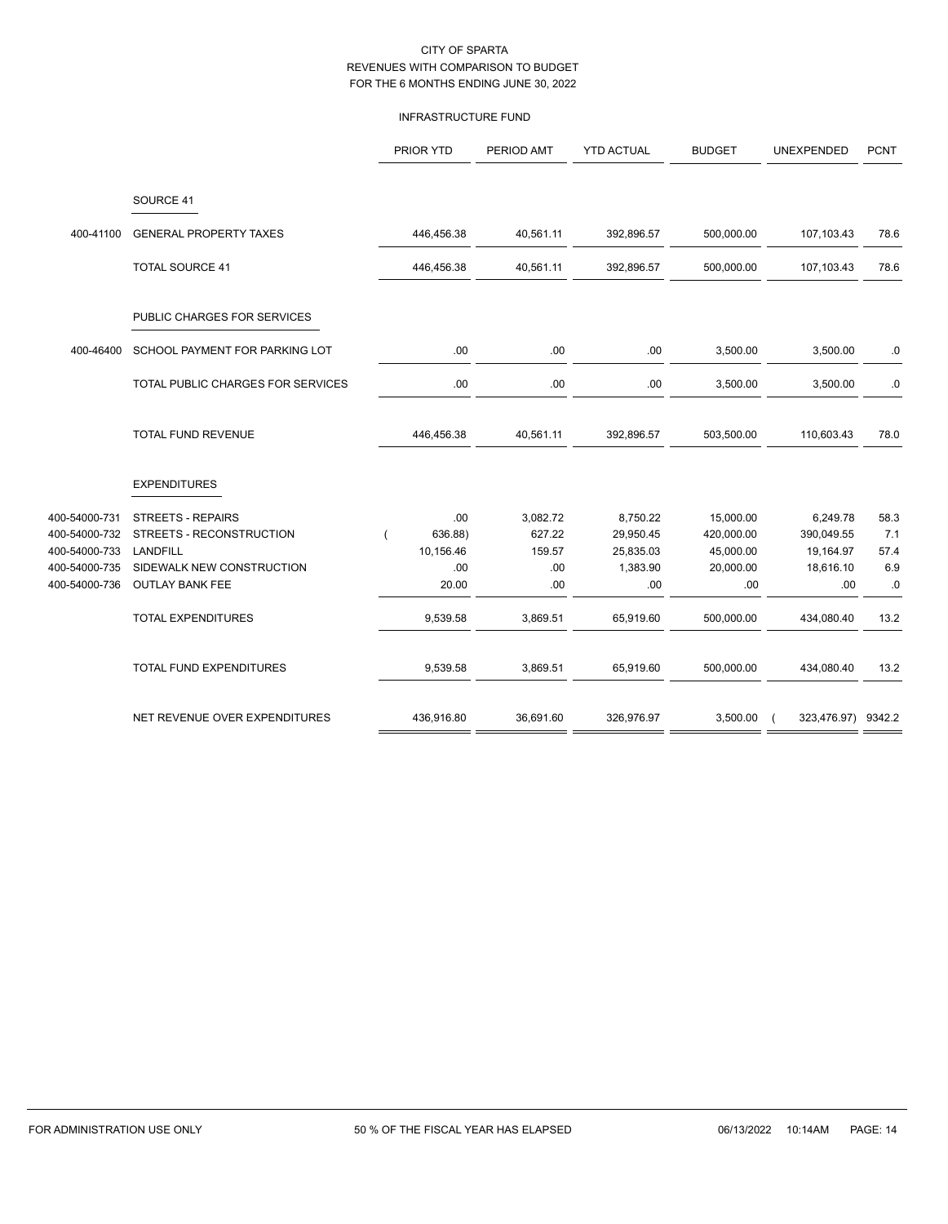## INFRASTRUCTURE FUND

|               |                                   | PRIOR YTD  | PERIOD AMT | <b>YTD ACTUAL</b> | <b>BUDGET</b> | UNEXPENDED         | <b>PCNT</b> |
|---------------|-----------------------------------|------------|------------|-------------------|---------------|--------------------|-------------|
|               | SOURCE 41                         |            |            |                   |               |                    |             |
| 400-41100     | <b>GENERAL PROPERTY TAXES</b>     | 446,456.38 | 40,561.11  | 392,896.57        | 500,000.00    | 107,103.43         | 78.6        |
|               | <b>TOTAL SOURCE 41</b>            | 446,456.38 | 40,561.11  | 392,896.57        | 500,000.00    | 107,103.43         | 78.6        |
|               | PUBLIC CHARGES FOR SERVICES       |            |            |                   |               |                    |             |
| 400-46400     | SCHOOL PAYMENT FOR PARKING LOT    | .00.       | .00.       | .00.              | 3,500.00      | 3,500.00           | .0          |
|               | TOTAL PUBLIC CHARGES FOR SERVICES | .00        | .00        | .00               | 3,500.00      | 3,500.00           | 0.0         |
|               | TOTAL FUND REVENUE                | 446,456.38 | 40,561.11  | 392,896.57        | 503,500.00    | 110,603.43         | 78.0        |
|               | <b>EXPENDITURES</b>               |            |            |                   |               |                    |             |
| 400-54000-731 | <b>STREETS - REPAIRS</b>          | .00        | 3,082.72   | 8,750.22          | 15,000.00     | 6,249.78           | 58.3        |
| 400-54000-732 | STREETS - RECONSTRUCTION          | 636.88)    | 627.22     | 29,950.45         | 420,000.00    | 390,049.55         | 7.1         |
| 400-54000-733 | <b>LANDFILL</b>                   | 10,156.46  | 159.57     | 25,835.03         | 45,000.00     | 19,164.97          | 57.4        |
| 400-54000-735 | SIDEWALK NEW CONSTRUCTION         | .00        | .00        | 1,383.90          | 20,000.00     | 18,616.10          | 6.9         |
| 400-54000-736 | <b>OUTLAY BANK FEE</b>            | 20.00      | .00        | .00               | .00           | .00                | $\cdot$ 0   |
|               | <b>TOTAL EXPENDITURES</b>         | 9,539.58   | 3,869.51   | 65,919.60         | 500,000.00    | 434,080.40         | 13.2        |
|               | TOTAL FUND EXPENDITURES           | 9,539.58   | 3,869.51   | 65,919.60         | 500,000.00    | 434,080.40         | 13.2        |
|               | NET REVENUE OVER EXPENDITURES     | 436,916.80 | 36,691.60  | 326,976.97        | 3,500.00      | 323,476.97) 9342.2 |             |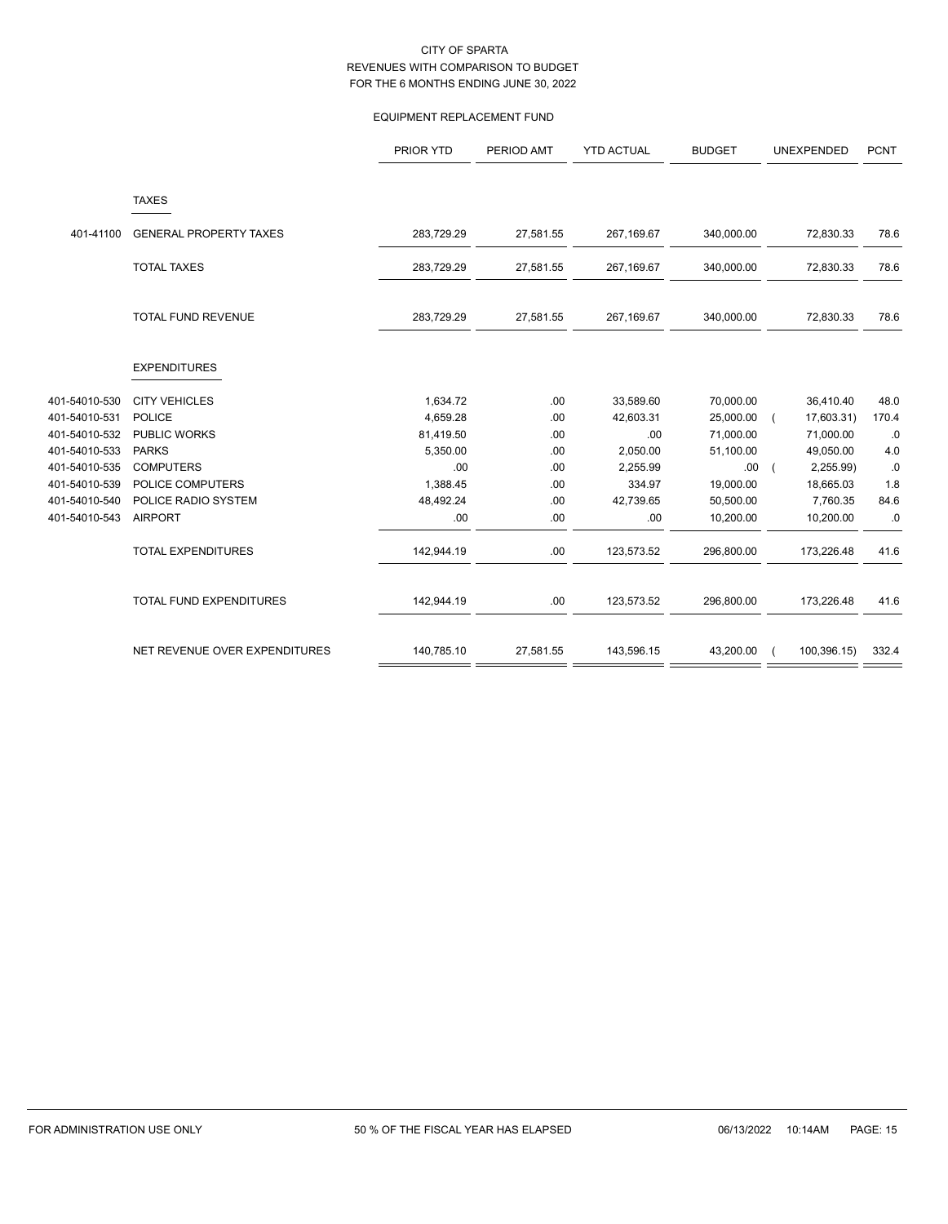## EQUIPMENT REPLACEMENT FUND

|               |                                | PRIOR YTD  | PERIOD AMT | <b>YTD ACTUAL</b> | <b>BUDGET</b> | UNEXPENDED  | <b>PCNT</b> |
|---------------|--------------------------------|------------|------------|-------------------|---------------|-------------|-------------|
|               | <b>TAXES</b>                   |            |            |                   |               |             |             |
| 401-41100     | <b>GENERAL PROPERTY TAXES</b>  | 283,729.29 | 27,581.55  | 267,169.67        | 340,000.00    | 72,830.33   | 78.6        |
|               | <b>TOTAL TAXES</b>             | 283,729.29 | 27,581.55  | 267,169.67        | 340,000.00    | 72,830.33   | 78.6        |
|               | <b>TOTAL FUND REVENUE</b>      | 283,729.29 | 27,581.55  | 267,169.67        | 340,000.00    | 72,830.33   | 78.6        |
|               | <b>EXPENDITURES</b>            |            |            |                   |               |             |             |
| 401-54010-530 | <b>CITY VEHICLES</b>           | 1,634.72   | .00        | 33,589.60         | 70,000.00     | 36,410.40   | 48.0        |
| 401-54010-531 | <b>POLICE</b>                  | 4,659.28   | .00        | 42,603.31         | 25,000.00     | 17,603.31)  | 170.4       |
| 401-54010-532 | PUBLIC WORKS                   | 81,419.50  | .00        | .00               | 71,000.00     | 71,000.00   | .0          |
| 401-54010-533 | <b>PARKS</b>                   | 5,350.00   | .00        | 2,050.00          | 51,100.00     | 49,050.00   | 4.0         |
| 401-54010-535 | <b>COMPUTERS</b>               | .00        | .00        | 2,255.99          | .00.          | 2,255.99)   | $.0\,$      |
| 401-54010-539 | POLICE COMPUTERS               | 1,388.45   | .00        | 334.97            | 19,000.00     | 18,665.03   | 1.8         |
| 401-54010-540 | POLICE RADIO SYSTEM            | 48,492.24  | .00        | 42,739.65         | 50,500.00     | 7,760.35    | 84.6        |
| 401-54010-543 | <b>AIRPORT</b>                 | .00        | .00        | .00               | 10,200.00     | 10,200.00   | .0          |
|               | <b>TOTAL EXPENDITURES</b>      | 142,944.19 | .00        | 123,573.52        | 296,800.00    | 173,226.48  | 41.6        |
|               | <b>TOTAL FUND EXPENDITURES</b> | 142,944.19 | .00        | 123,573.52        | 296,800.00    | 173,226.48  | 41.6        |
|               | NET REVENUE OVER EXPENDITURES  | 140,785.10 | 27,581.55  | 143,596.15        | 43,200.00     | 100,396.15) | 332.4       |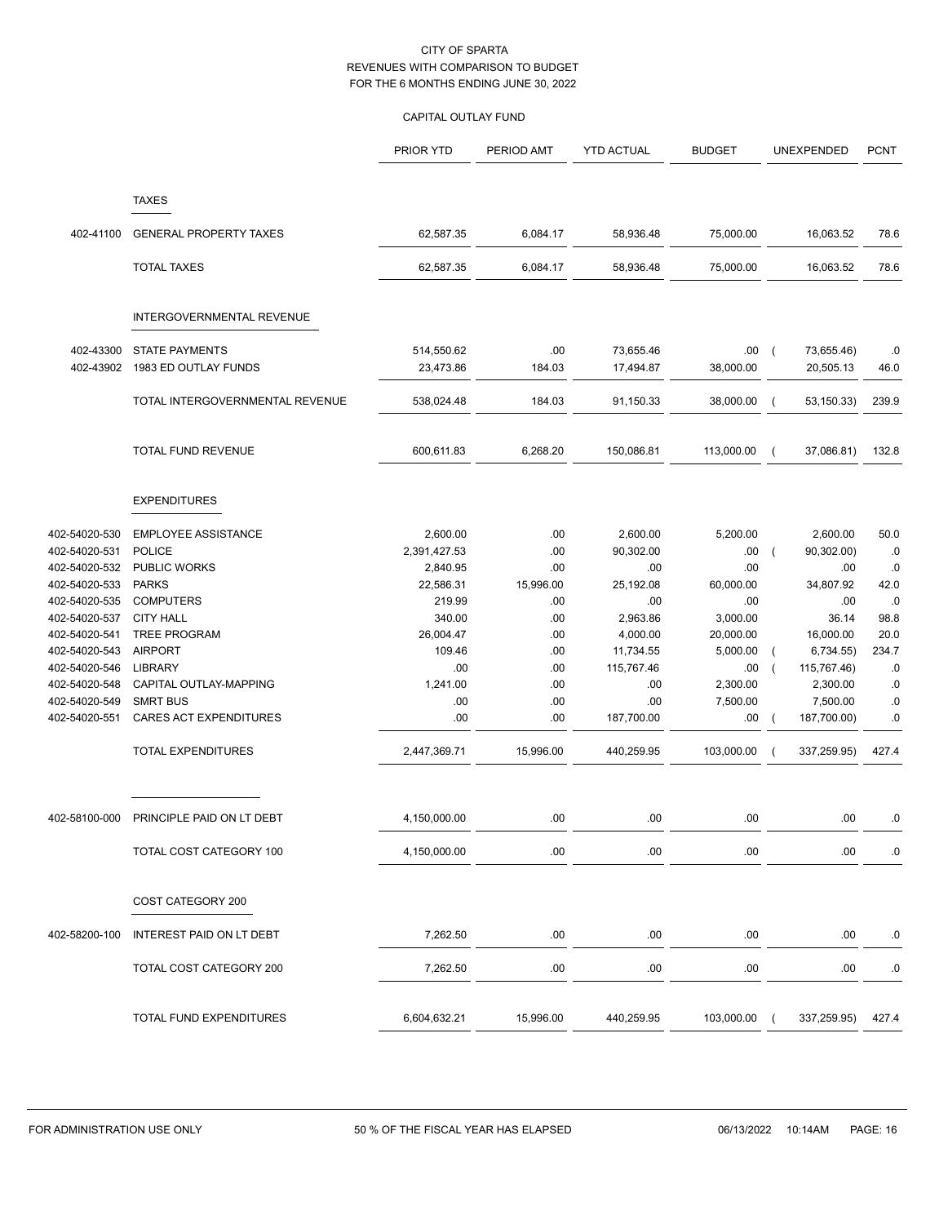## CAPITAL OUTLAY FUND

|                                                                                                                                                                                                                                                                  |                                           | PRIOR YTD       | PERIOD AMT | <b>YTD ACTUAL</b> | <b>BUDGET</b>   |                                                                                                                                                                                                                                   | UNEXPENDED  | <b>PCNT</b>     |
|------------------------------------------------------------------------------------------------------------------------------------------------------------------------------------------------------------------------------------------------------------------|-------------------------------------------|-----------------|------------|-------------------|-----------------|-----------------------------------------------------------------------------------------------------------------------------------------------------------------------------------------------------------------------------------|-------------|-----------------|
|                                                                                                                                                                                                                                                                  | <b>TAXES</b>                              |                 |            |                   |                 |                                                                                                                                                                                                                                   |             |                 |
|                                                                                                                                                                                                                                                                  | <b>GENERAL PROPERTY TAXES</b>             | 62,587.35       | 6,084.17   | 58,936.48         | 75,000.00       |                                                                                                                                                                                                                                   |             | 78.6            |
| 402-41100<br>402-43300<br>402-43902<br>402-54020-530<br>402-54020-531<br>402-54020-532<br>402-54020-533<br>402-54020-535<br>402-54020-537<br>402-54020-541<br>402-54020-543<br>402-54020-546<br>402-54020-548<br>402-54020-549<br>402-54020-551<br>402-58100-000 |                                           |                 |            |                   |                 |                                                                                                                                                                                                                                   |             |                 |
|                                                                                                                                                                                                                                                                  | <b>TOTAL TAXES</b>                        | 62,587.35       | 6,084.17   | 58,936.48         | 75,000.00       |                                                                                                                                                                                                                                   | 16,063.52   | 78.6            |
|                                                                                                                                                                                                                                                                  | INTERGOVERNMENTAL REVENUE                 |                 |            |                   |                 |                                                                                                                                                                                                                                   |             |                 |
|                                                                                                                                                                                                                                                                  | <b>STATE PAYMENTS</b>                     | 514,550.62      | .00.       | 73,655.46         | .00.            | $\sqrt{ }$                                                                                                                                                                                                                        |             | .0              |
|                                                                                                                                                                                                                                                                  | 1983 ED OUTLAY FUNDS                      | 23,473.86       | 184.03     | 17,494.87         | 38,000.00       |                                                                                                                                                                                                                                   | 20,505.13   | 46.0            |
|                                                                                                                                                                                                                                                                  | TOTAL INTERGOVERNMENTAL REVENUE           | 538,024.48      | 184.03     | 91,150.33         | 38,000.00       |                                                                                                                                                                                                                                   | 53, 150.33) | 239.9           |
|                                                                                                                                                                                                                                                                  | <b>TOTAL FUND REVENUE</b>                 | 600,611.83      | 6,268.20   | 150,086.81        | 113,000.00      |                                                                                                                                                                                                                                   |             | 132.8           |
|                                                                                                                                                                                                                                                                  |                                           |                 |            |                   |                 |                                                                                                                                                                                                                                   |             |                 |
|                                                                                                                                                                                                                                                                  | <b>EXPENDITURES</b>                       |                 |            |                   |                 |                                                                                                                                                                                                                                   |             |                 |
|                                                                                                                                                                                                                                                                  | <b>EMPLOYEE ASSISTANCE</b>                | 2,600.00        | .00        | 2,600.00          | 5,200.00        |                                                                                                                                                                                                                                   | 2,600.00    | 50.0            |
|                                                                                                                                                                                                                                                                  | <b>POLICE</b>                             | 2,391,427.53    | .00        | 90,302.00         | .00.            | $\overline{ }$                                                                                                                                                                                                                    | 90,302.00)  | .0              |
|                                                                                                                                                                                                                                                                  | <b>PUBLIC WORKS</b>                       | 2,840.95        | .00        | .00               | .00             |                                                                                                                                                                                                                                   | .00         | .0              |
|                                                                                                                                                                                                                                                                  | <b>PARKS</b>                              | 22,586.31       | 15,996.00  | 25,192.08         | 60,000.00       |                                                                                                                                                                                                                                   |             | 42.0            |
|                                                                                                                                                                                                                                                                  | <b>COMPUTERS</b>                          | 219.99          | .00        | .00               | .00             |                                                                                                                                                                                                                                   |             | .0              |
|                                                                                                                                                                                                                                                                  | <b>CITY HALL</b>                          | 340.00          | .00        | 2,963.86          | 3,000.00        |                                                                                                                                                                                                                                   |             | 98.8            |
|                                                                                                                                                                                                                                                                  | <b>TREE PROGRAM</b>                       | 26,004.47       | .00        | 4,000.00          | 20,000.00       |                                                                                                                                                                                                                                   |             | 20.0            |
|                                                                                                                                                                                                                                                                  | <b>AIRPORT</b>                            | 109.46          | .00        | 11,734.55         | 5,000.00        |                                                                                                                                                                                                                                   |             | 234.7           |
|                                                                                                                                                                                                                                                                  | <b>LIBRARY</b>                            | .00             | .00        | 115,767.46        | .00<br>2,300.00 |                                                                                                                                                                                                                                   |             | .0              |
|                                                                                                                                                                                                                                                                  | CAPITAL OUTLAY-MAPPING<br><b>SMRT BUS</b> | 1,241.00<br>.00 | .00<br>.00 | .00<br>.00        | 7,500.00        |                                                                                                                                                                                                                                   |             | .0              |
|                                                                                                                                                                                                                                                                  | CARES ACT EXPENDITURES                    | .00             | .00        | 187,700.00        | .00.            | $\sqrt{ }$                                                                                                                                                                                                                        | 187,700.00) | .0<br>$\cdot$ 0 |
|                                                                                                                                                                                                                                                                  | TOTAL EXPENDITURES                        | 2,447,369.71    | 15,996.00  | 440,259.95        | 103,000.00      |                                                                                                                                                                                                                                   | 337,259.95) | 427.4           |
|                                                                                                                                                                                                                                                                  |                                           |                 |            |                   |                 |                                                                                                                                                                                                                                   |             |                 |
|                                                                                                                                                                                                                                                                  | PRINCIPLE PAID ON LT DEBT                 | 4,150,000.00    | .00        | .00               | .00             |                                                                                                                                                                                                                                   | .00         | .0              |
|                                                                                                                                                                                                                                                                  | TOTAL COST CATEGORY 100                   | 4,150,000.00    | .00        | .00.              | .00             |                                                                                                                                                                                                                                   | .00         | $\cdot$ 0       |
|                                                                                                                                                                                                                                                                  | COST CATEGORY 200                         |                 |            |                   |                 |                                                                                                                                                                                                                                   |             |                 |
| 402-58200-100                                                                                                                                                                                                                                                    | INTEREST PAID ON LT DEBT                  | 7,262.50        | .00        | .00               | .00             | 16,063.52<br>73,655.46)<br>37,086.81)<br>$\overline{ }$<br>34,807.92<br>.00.<br>36.14<br>16,000.00<br>6,734.55)<br>$\overline{ }$<br>115,767.46)<br>$\sqrt{ }$<br>2,300.00<br>7,500.00<br>.00<br>.00<br>337,259.95)<br>$\sqrt{ }$ | .0          |                 |
|                                                                                                                                                                                                                                                                  | TOTAL COST CATEGORY 200                   | 7,262.50        | .00        | .00               | .00             |                                                                                                                                                                                                                                   |             | .0              |
|                                                                                                                                                                                                                                                                  | TOTAL FUND EXPENDITURES                   | 6,604,632.21    | 15,996.00  | 440,259.95        | 103,000.00      |                                                                                                                                                                                                                                   |             | 427.4           |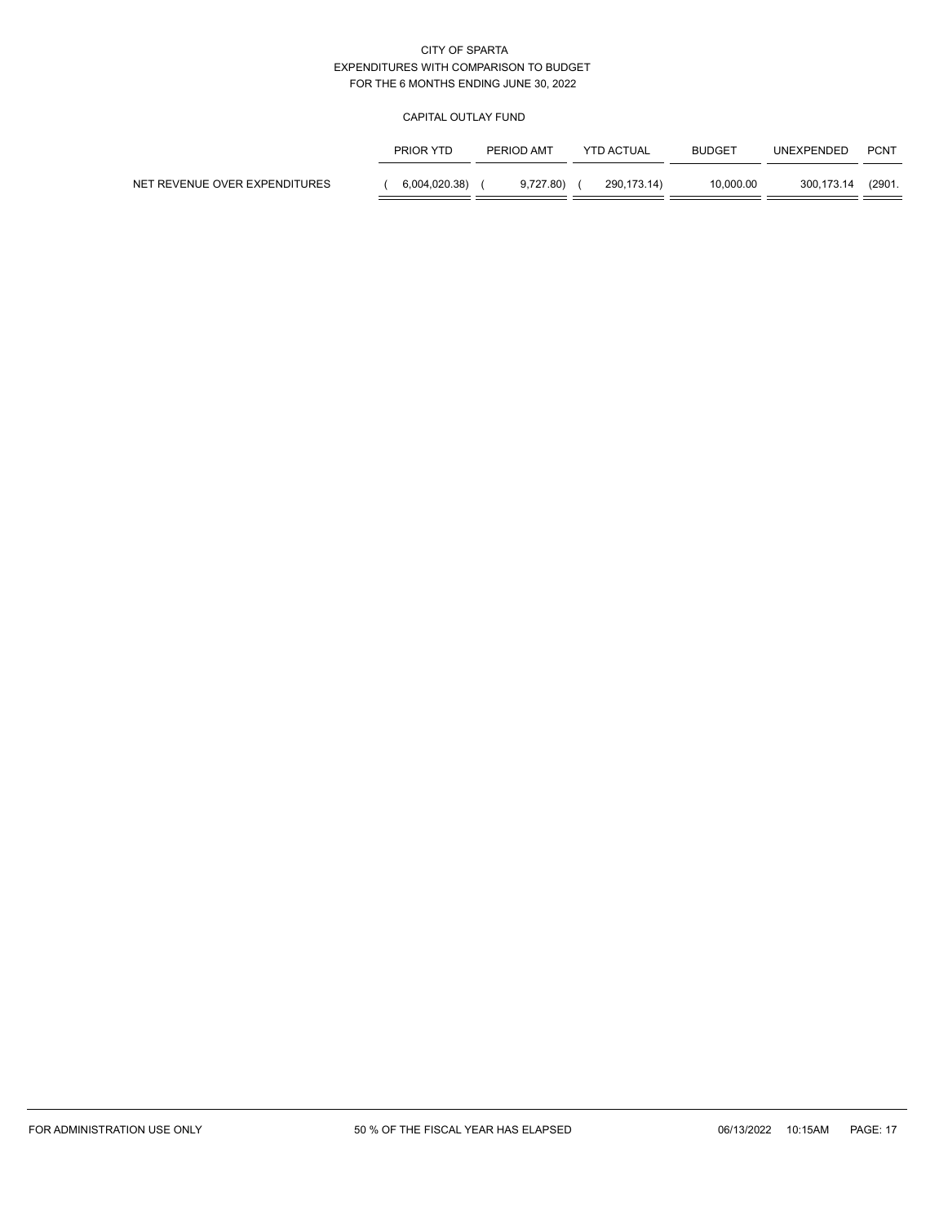## CAPITAL OUTLAY FUND

|                               | PRIOR YTD     | PERIOD AMT | YTD ACTUAL  | <b>BUDGET</b> | UNEXPENDED | <b>PCNT</b> |
|-------------------------------|---------------|------------|-------------|---------------|------------|-------------|
| NET REVENUE OVER EXPENDITURES | 6,004,020.38) | 9.727.80   | 290.173.14) | 10.000.00     | 300.173.14 | (2901.      |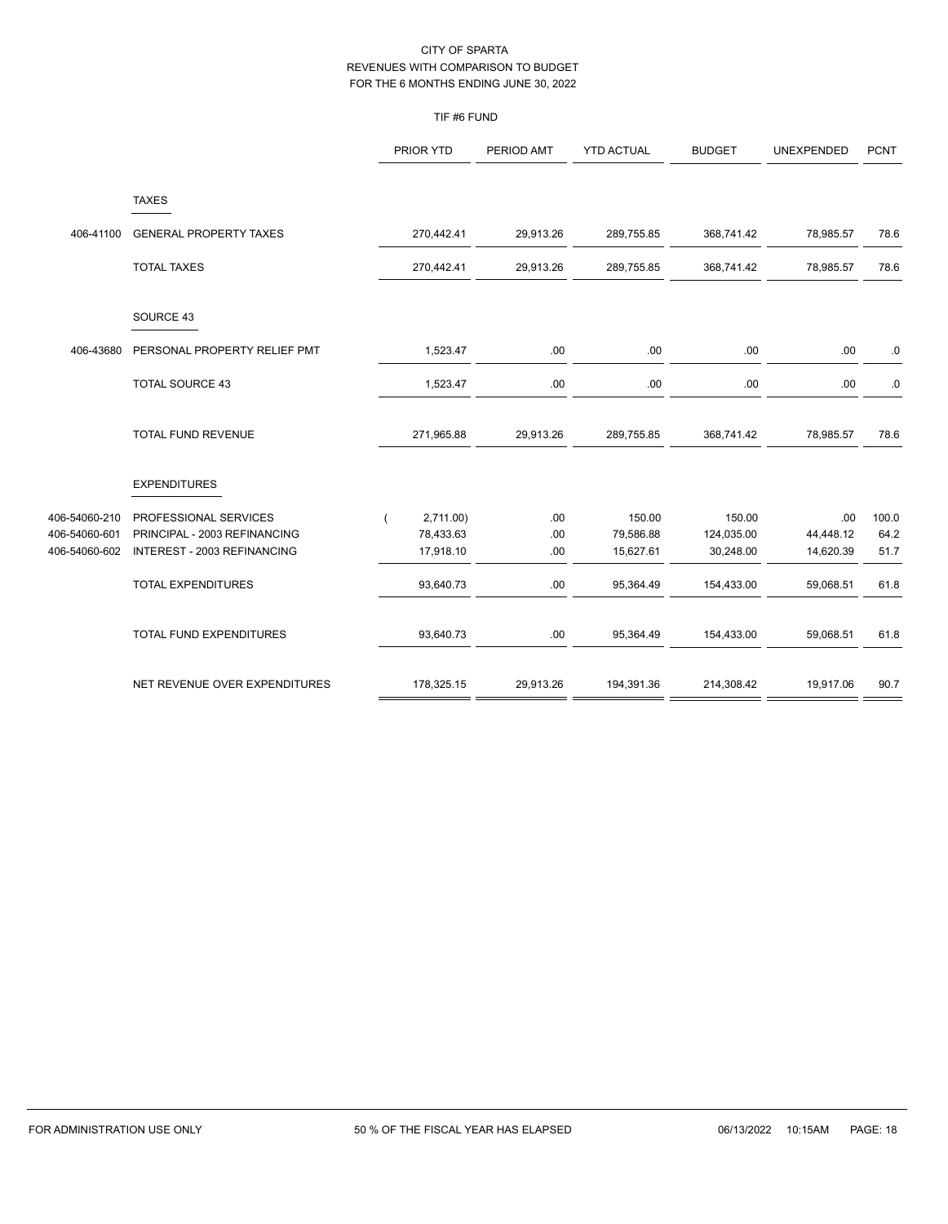## TIF #6 FUND

|                                                 |                                                                                      | PRIOR YTD                          | PERIOD AMT        | <b>YTD ACTUAL</b>                | <b>BUDGET</b>                     | UNEXPENDED                    | <b>PCNT</b>           |
|-------------------------------------------------|--------------------------------------------------------------------------------------|------------------------------------|-------------------|----------------------------------|-----------------------------------|-------------------------------|-----------------------|
|                                                 | <b>TAXES</b>                                                                         |                                    |                   |                                  |                                   |                               |                       |
| 406-41100                                       | <b>GENERAL PROPERTY TAXES</b>                                                        | 270,442.41                         | 29,913.26         | 289,755.85                       | 368,741.42                        | 78,985.57                     | 78.6                  |
|                                                 | <b>TOTAL TAXES</b>                                                                   | 270,442.41                         | 29,913.26         | 289,755.85                       | 368,741.42                        | 78,985.57                     | 78.6                  |
|                                                 | SOURCE 43                                                                            |                                    |                   |                                  |                                   |                               |                       |
| 406-43680                                       | PERSONAL PROPERTY RELIEF PMT                                                         | 1,523.47                           | .00               | .00                              | .00                               | .00                           | $\cdot$ 0             |
|                                                 | <b>TOTAL SOURCE 43</b>                                                               | 1,523.47                           | .00               | .00                              | .00                               | .00                           | $\cdot$ 0             |
|                                                 | TOTAL FUND REVENUE                                                                   | 271,965.88                         | 29,913.26         | 289,755.85                       | 368,741.42                        | 78,985.57                     | 78.6                  |
|                                                 | <b>EXPENDITURES</b>                                                                  |                                    |                   |                                  |                                   |                               |                       |
| 406-54060-210<br>406-54060-601<br>406-54060-602 | PROFESSIONAL SERVICES<br>PRINCIPAL - 2003 REFINANCING<br>INTEREST - 2003 REFINANCING | 2,711.00<br>78,433.63<br>17,918.10 | .00<br>.00<br>.00 | 150.00<br>79,586.88<br>15,627.61 | 150.00<br>124,035.00<br>30,248.00 | .00<br>44,448.12<br>14,620.39 | 100.0<br>64.2<br>51.7 |
|                                                 | <b>TOTAL EXPENDITURES</b>                                                            | 93,640.73                          | .00               | 95,364.49                        | 154,433.00                        | 59,068.51                     | 61.8                  |
|                                                 | TOTAL FUND EXPENDITURES                                                              | 93,640.73                          | .00               | 95,364.49                        | 154,433.00                        | 59,068.51                     | 61.8                  |
|                                                 | NET REVENUE OVER EXPENDITURES                                                        | 178,325.15                         | 29,913.26         | 194,391.36                       | 214,308.42                        | 19,917.06                     | 90.7                  |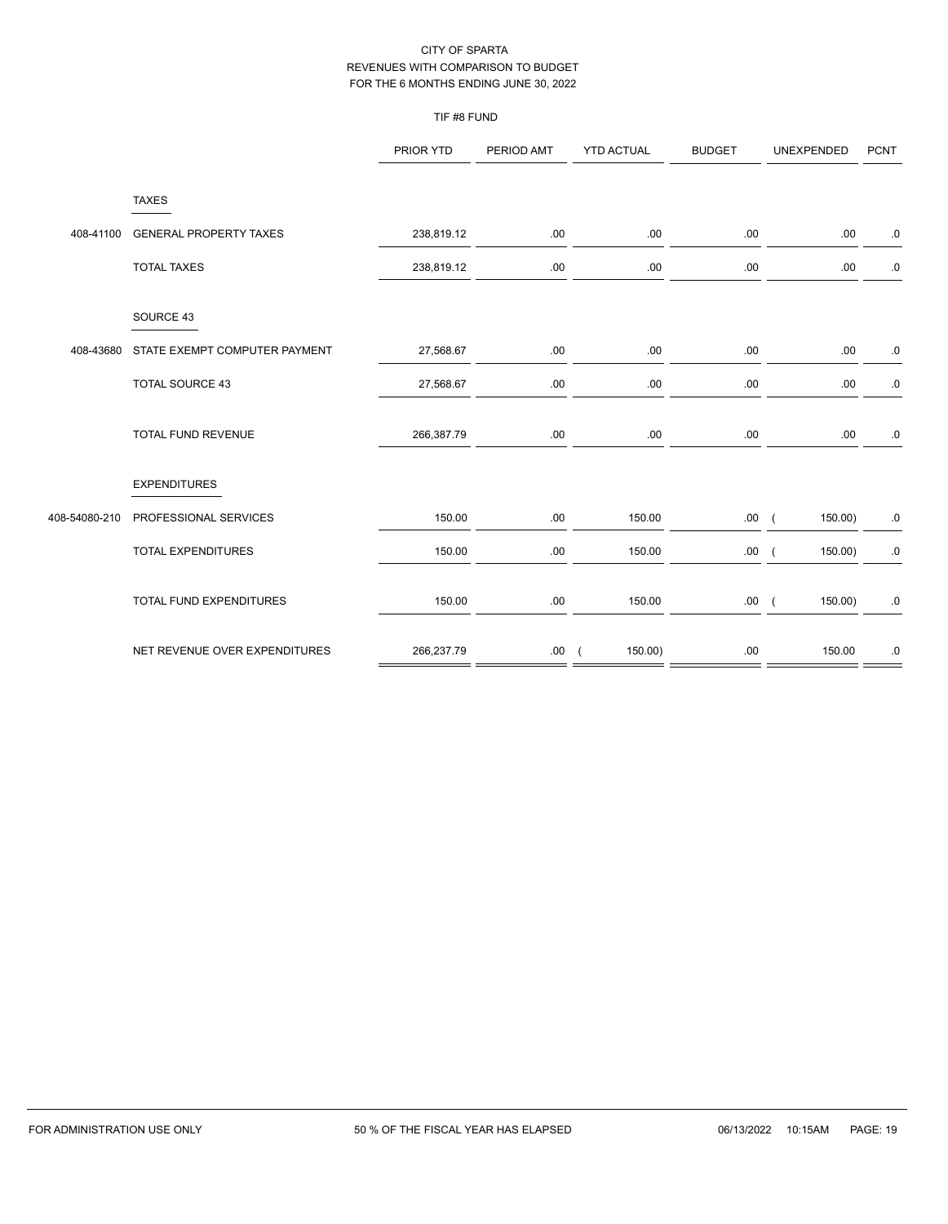## TIF #8 FUND

|               |                               | PRIOR YTD  | PERIOD AMT | <b>YTD ACTUAL</b>        | <b>BUDGET</b> | UNEXPENDED          | <b>PCNT</b> |
|---------------|-------------------------------|------------|------------|--------------------------|---------------|---------------------|-------------|
|               | <b>TAXES</b>                  |            |            |                          |               |                     |             |
| 408-41100     | <b>GENERAL PROPERTY TAXES</b> | 238,819.12 | .00        | .00.                     | .00.          | .00.                | $\cdot 0$   |
|               | <b>TOTAL TAXES</b>            | 238,819.12 | .00        | .00                      | .00           | .00                 | $\cdot$ 0   |
|               | SOURCE 43                     |            |            |                          |               |                     |             |
| 408-43680     | STATE EXEMPT COMPUTER PAYMENT | 27,568.67  | .00        | .00                      | .00           | .00                 | ${\bf .0}$  |
|               | <b>TOTAL SOURCE 43</b>        | 27,568.67  | .00.       | .00.                     | .00.          | .00                 | $\cdot 0$   |
|               | TOTAL FUND REVENUE            | 266,387.79 | .00        | .00.                     | .00.          | .00.                | $.0\,$      |
|               | <b>EXPENDITURES</b>           |            |            |                          |               |                     |             |
| 408-54080-210 | PROFESSIONAL SERVICES         | 150.00     | .00        | 150.00                   | .00(          | 150.00)             | $\cdot$ 0   |
|               | TOTAL EXPENDITURES            | 150.00     | .00.       | 150.00                   | .00.          | 150.00)<br>$\left($ | $.0 \,$     |
|               | TOTAL FUND EXPENDITURES       | 150.00     | .00        | 150.00                   | .00(          | $150.00$ )          | ${\bf .0}$  |
|               | NET REVENUE OVER EXPENDITURES | 266,237.79 | .00.       | $150.00$ )<br>$\sqrt{ }$ | .00           | 150.00              | 0.          |